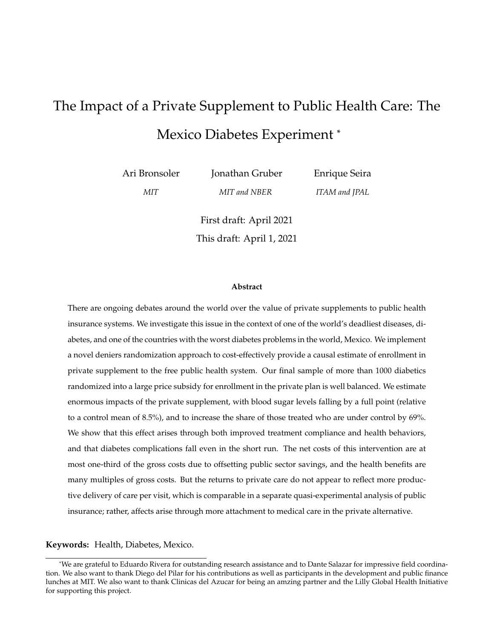# <span id="page-0-0"></span>The Impact of a Private Supplement to Public Health Care: The Mexico Diabetes Experiment \*

Ari Bronsoler

Jonathan Gruber

Enrique Seira

*MIT*

*MIT and NBER*

*ITAM and JPAL*

First draft: April 2021 This draft: April 1, 2021

#### **Abstract**

There are ongoing debates around the world over the value of private supplements to public health insurance systems. We investigate this issue in the context of one of the world's deadliest diseases, diabetes, and one of the countries with the worst diabetes problems in the world, Mexico. We implement a novel deniers randomization approach to cost-effectively provide a causal estimate of enrollment in private supplement to the free public health system. Our final sample of more than 1000 diabetics randomized into a large price subsidy for enrollment in the private plan is well balanced. We estimate enormous impacts of the private supplement, with blood sugar levels falling by a full point (relative to a control mean of 8.5%), and to increase the share of those treated who are under control by 69%. We show that this effect arises through both improved treatment compliance and health behaviors, and that diabetes complications fall even in the short run. The net costs of this intervention are at most one-third of the gross costs due to offsetting public sector savings, and the health benefits are many multiples of gross costs. But the returns to private care do not appear to reflect more productive delivery of care per visit, which is comparable in a separate quasi-experimental analysis of public insurance; rather, affects arise through more attachment to medical care in the private alternative.

## **Keywords:** Health, Diabetes, Mexico.

<sup>\*</sup>We are grateful to Eduardo Rivera for outstanding research assistance and to Dante Salazar for impressive field coordination. We also want to thank Diego del Pilar for his contributions as well as participants in the development and public finance lunches at MIT. We also want to thank Clinicas del Azucar for being an amzing partner and the Lilly Global Health Initiative for supporting this project.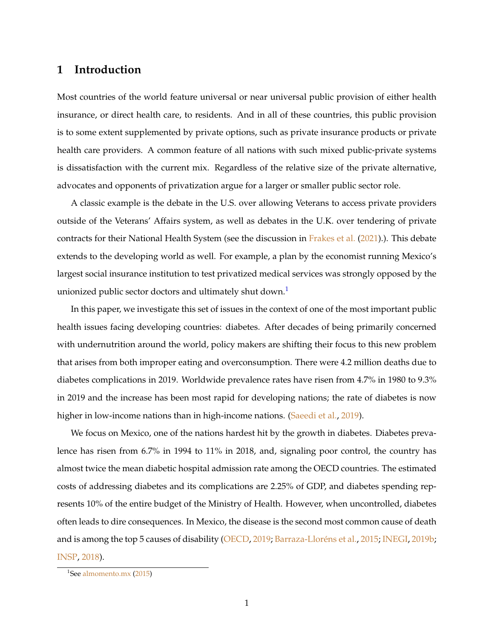## **1 Introduction**

Most countries of the world feature universal or near universal public provision of either health insurance, or direct health care, to residents. And in all of these countries, this public provision is to some extent supplemented by private options, such as private insurance products or private health care providers. A common feature of all nations with such mixed public-private systems is dissatisfaction with the current mix. Regardless of the relative size of the private alternative, advocates and opponents of privatization argue for a larger or smaller public sector role.

A classic example is the debate in the U.S. over allowing Veterans to access private providers outside of the Veterans' Affairs system, as well as debates in the U.K. over tendering of private contracts for their National Health System (see the discussion in [Frakes et al.](#page-40-0) [\(2021\)](#page-40-0).). This debate extends to the developing world as well. For example, a plan by the economist running Mexico's largest social insurance institution to test privatized medical services was strongly opposed by the unionized public sector doctors and ultimately shut down.<sup>[1](#page-1-0)</sup>

In this paper, we investigate this set of issues in the context of one of the most important public health issues facing developing countries: diabetes. After decades of being primarily concerned with undernutrition around the world, policy makers are shifting their focus to this new problem that arises from both improper eating and overconsumption. There were 4.2 million deaths due to diabetes complications in 2019. Worldwide prevalence rates have risen from 4.7% in 1980 to 9.3% in 2019 and the increase has been most rapid for developing nations; the rate of diabetes is now higher in low-income nations than in high-income nations. [\(Saeedi et al.,](#page-41-0) [2019\)](#page-41-0).

We focus on Mexico, one of the nations hardest hit by the growth in diabetes. Diabetes prevalence has risen from 6.7% in 1994 to 11% in 2018, and, signaling poor control, the country has almost twice the mean diabetic hospital admission rate among the OECD countries. The estimated costs of addressing diabetes and its complications are 2.25% of GDP, and diabetes spending represents 10% of the entire budget of the Ministry of Health. However, when uncontrolled, diabetes often leads to dire consequences. In Mexico, the disease is the second most common cause of death and is among the top 5 causes of disability [\(OECD,](#page-41-1) [2019;](#page-41-1) [Barraza-Lloréns et al.,](#page-40-1) [2015;](#page-40-1) [INEGI,](#page-40-2) [2019b;](#page-40-2) [INSP,](#page-40-3) [2018\)](#page-40-3).

<span id="page-1-0"></span><sup>&</sup>lt;sup>1</sup>See [almomento.mx](#page-40-4) [\(2015\)](#page-40-4)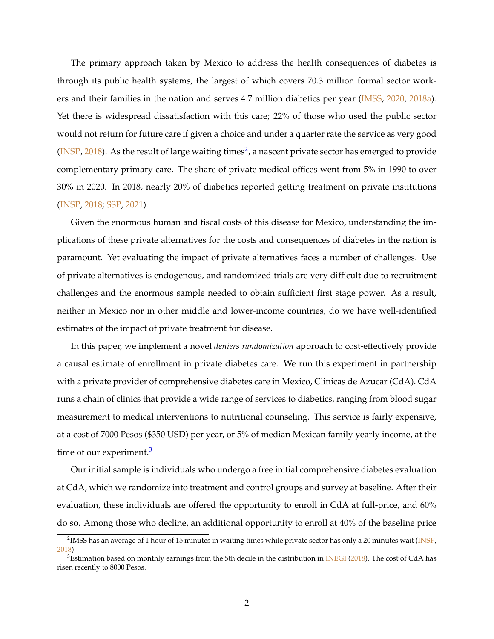<span id="page-2-2"></span>The primary approach taken by Mexico to address the health consequences of diabetes is through its public health systems, the largest of which covers 70.3 million formal sector work-ers and their families in the nation and serves 4.7 million diabetics per year [\(IMSS,](#page-40-5) [2020,](#page-40-5) [2018a\)](#page-40-6). Yet there is widespread dissatisfaction with this care; 22% of those who used the public sector would not return for future care if given a choice and under a quarter rate the service as very good [\(INSP,](#page-40-3) [2018\)](#page-40-3). As the result of large waiting times<sup>[2](#page-2-0)</sup>, a nascent private sector has emerged to provide complementary primary care. The share of private medical offices went from 5% in 1990 to over 30% in 2020. In 2018, nearly 20% of diabetics reported getting treatment on private institutions [\(INSP,](#page-40-3) [2018;](#page-40-3) [SSP,](#page-41-2) [2021\)](#page-41-2).

Given the enormous human and fiscal costs of this disease for Mexico, understanding the implications of these private alternatives for the costs and consequences of diabetes in the nation is paramount. Yet evaluating the impact of private alternatives faces a number of challenges. Use of private alternatives is endogenous, and randomized trials are very difficult due to recruitment challenges and the enormous sample needed to obtain sufficient first stage power. As a result, neither in Mexico nor in other middle and lower-income countries, do we have well-identified estimates of the impact of private treatment for disease.

In this paper, we implement a novel *deniers randomization* approach to cost-effectively provide a causal estimate of enrollment in private diabetes care. We run this experiment in partnership with a private provider of comprehensive diabetes care in Mexico, Clinicas de Azucar (CdA). CdA runs a chain of clinics that provide a wide range of services to diabetics, ranging from blood sugar measurement to medical interventions to nutritional counseling. This service is fairly expensive, at a cost of 7000 Pesos (\$350 USD) per year, or 5% of median Mexican family yearly income, at the time of our experiment.<sup>[3](#page-2-1)</sup>

Our initial sample is individuals who undergo a free initial comprehensive diabetes evaluation at CdA, which we randomize into treatment and control groups and survey at baseline. After their evaluation, these individuals are offered the opportunity to enroll in CdA at full-price, and 60% do so. Among those who decline, an additional opportunity to enroll at 40% of the baseline price

<span id="page-2-0"></span> $^2$ IMSS has an average of 1 hour of 15 minutes in waiting times while private sector has only a 20 minutes wait [\(INSP,](#page-40-3) [2018\)](#page-40-3).

<span id="page-2-1"></span> $3$ Estimation based on monthly earnings from the 5th decile in the distribution in [INEGI](#page-40-7) [\(2018\)](#page-40-7). The cost of CdA has risen recently to 8000 Pesos.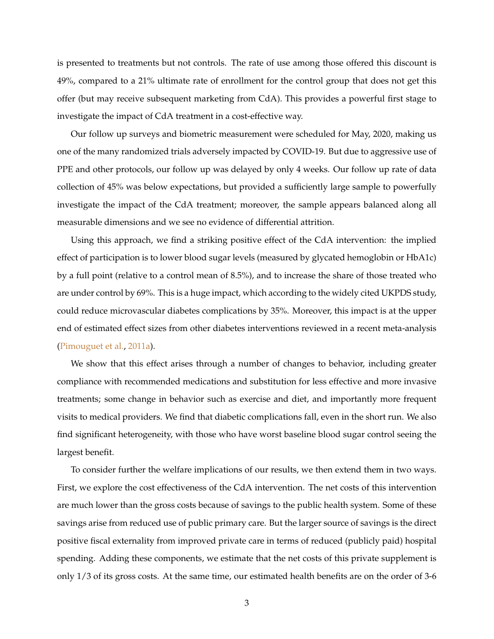<span id="page-3-0"></span>is presented to treatments but not controls. The rate of use among those offered this discount is 49%, compared to a 21% ultimate rate of enrollment for the control group that does not get this offer (but may receive subsequent marketing from CdA). This provides a powerful first stage to investigate the impact of CdA treatment in a cost-effective way.

Our follow up surveys and biometric measurement were scheduled for May, 2020, making us one of the many randomized trials adversely impacted by COVID-19. But due to aggressive use of PPE and other protocols, our follow up was delayed by only 4 weeks. Our follow up rate of data collection of 45% was below expectations, but provided a sufficiently large sample to powerfully investigate the impact of the CdA treatment; moreover, the sample appears balanced along all measurable dimensions and we see no evidence of differential attrition.

Using this approach, we find a striking positive effect of the CdA intervention: the implied effect of participation is to lower blood sugar levels (measured by glycated hemoglobin or HbA1c) by a full point (relative to a control mean of 8.5%), and to increase the share of those treated who are under control by 69%. This is a huge impact, which according to the widely cited UKPDS study, could reduce microvascular diabetes complications by 35%. Moreover, this impact is at the upper end of estimated effect sizes from other diabetes interventions reviewed in a recent meta-analysis [\(Pimouguet et al.,](#page-41-3) [2011a\)](#page-41-3).

We show that this effect arises through a number of changes to behavior, including greater compliance with recommended medications and substitution for less effective and more invasive treatments; some change in behavior such as exercise and diet, and importantly more frequent visits to medical providers. We find that diabetic complications fall, even in the short run. We also find significant heterogeneity, with those who have worst baseline blood sugar control seeing the largest benefit.

To consider further the welfare implications of our results, we then extend them in two ways. First, we explore the cost effectiveness of the CdA intervention. The net costs of this intervention are much lower than the gross costs because of savings to the public health system. Some of these savings arise from reduced use of public primary care. But the larger source of savings is the direct positive fiscal externality from improved private care in terms of reduced (publicly paid) hospital spending. Adding these components, we estimate that the net costs of this private supplement is only 1/3 of its gross costs. At the same time, our estimated health benefits are on the order of 3-6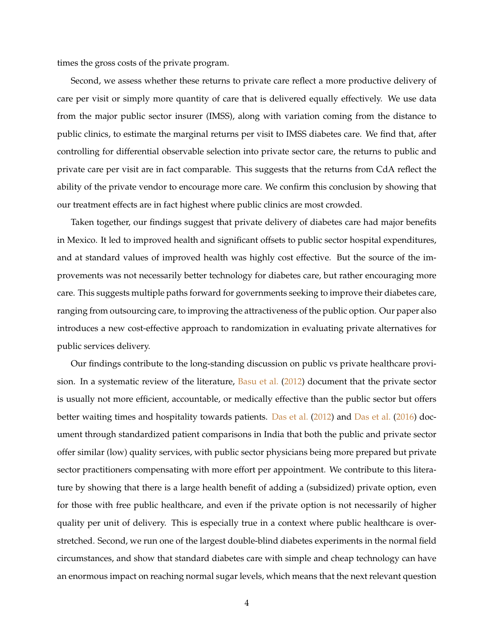<span id="page-4-0"></span>times the gross costs of the private program.

Second, we assess whether these returns to private care reflect a more productive delivery of care per visit or simply more quantity of care that is delivered equally effectively. We use data from the major public sector insurer (IMSS), along with variation coming from the distance to public clinics, to estimate the marginal returns per visit to IMSS diabetes care. We find that, after controlling for differential observable selection into private sector care, the returns to public and private care per visit are in fact comparable. This suggests that the returns from CdA reflect the ability of the private vendor to encourage more care. We confirm this conclusion by showing that our treatment effects are in fact highest where public clinics are most crowded.

Taken together, our findings suggest that private delivery of diabetes care had major benefits in Mexico. It led to improved health and significant offsets to public sector hospital expenditures, and at standard values of improved health was highly cost effective. But the source of the improvements was not necessarily better technology for diabetes care, but rather encouraging more care. This suggests multiple paths forward for governments seeking to improve their diabetes care, ranging from outsourcing care, to improving the attractiveness of the public option. Our paper also introduces a new cost-effective approach to randomization in evaluating private alternatives for public services delivery.

Our findings contribute to the long-standing discussion on public vs private healthcare provision. In a systematic review of the literature,  $Basu$  et al. [\(2012\)](#page-40-8) document that the private sector is usually not more efficient, accountable, or medically effective than the public sector but offers better waiting times and hospitality towards patients. [Das et al.](#page-40-10) [\(2012\)](#page-40-9) and Das et al. [\(2016\)](#page-40-10) document through standardized patient comparisons in India that both the public and private sector offer similar (low) quality services, with public sector physicians being more prepared but private sector practitioners compensating with more effort per appointment. We contribute to this literature by showing that there is a large health benefit of adding a (subsidized) private option, even for those with free public healthcare, and even if the private option is not necessarily of higher quality per unit of delivery. This is especially true in a context where public healthcare is overstretched. Second, we run one of the largest double-blind diabetes experiments in the normal field circumstances, and show that standard diabetes care with simple and cheap technology can have an enormous impact on reaching normal sugar levels, which means that the next relevant question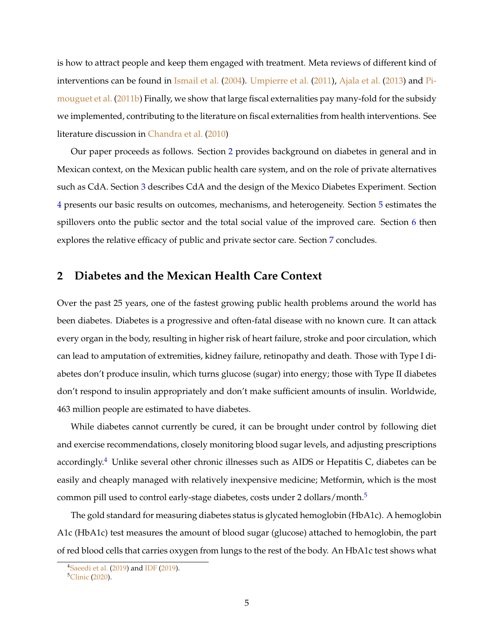<span id="page-5-3"></span>is how to attract people and keep them engaged with treatment. Meta reviews of different kind of interventions can be found in [Ismail et al.](#page-41-4) [\(2004\)](#page-41-4). [Umpierre et al.](#page-41-5) [\(2011\)](#page-41-5), [Ajala et al.](#page-40-11) [\(2013\)](#page-40-11) and [Pi](#page-41-6)[mouguet et al.](#page-41-6) [\(2011b\)](#page-41-6) Finally, we show that large fiscal externalities pay many-fold for the subsidy we implemented, contributing to the literature on fiscal externalities from health interventions. See literature discussion in [Chandra et al.](#page-40-12) [\(2010\)](#page-40-12)

Our paper proceeds as follows. Section [2](#page-5-0) provides background on diabetes in general and in Mexican context, on the Mexican public health care system, and on the role of private alternatives such as CdA. Section [3](#page-7-0) describes CdA and the design of the Mexico Diabetes Experiment. Section [4](#page-12-0) presents our basic results on outcomes, mechanisms, and heterogeneity. Section [5](#page-15-0) estimates the spillovers onto the public sector and the total social value of the improved care. Section [6](#page-19-0) then explores the relative efficacy of public and private sector care. Section [7](#page-24-0) concludes.

## <span id="page-5-0"></span>**2 Diabetes and the Mexican Health Care Context**

Over the past 25 years, one of the fastest growing public health problems around the world has been diabetes. Diabetes is a progressive and often-fatal disease with no known cure. It can attack every organ in the body, resulting in higher risk of heart failure, stroke and poor circulation, which can lead to amputation of extremities, kidney failure, retinopathy and death. Those with Type I diabetes don't produce insulin, which turns glucose (sugar) into energy; those with Type II diabetes don't respond to insulin appropriately and don't make sufficient amounts of insulin. Worldwide, 463 million people are estimated to have diabetes.

While diabetes cannot currently be cured, it can be brought under control by following diet and exercise recommendations, closely monitoring blood sugar levels, and adjusting prescriptions accordingly.<sup>[4](#page-5-1)</sup> Unlike several other chronic illnesses such as AIDS or Hepatitis C, diabetes can be easily and cheaply managed with relatively inexpensive medicine; Metformin, which is the most common pill used to control early-stage diabetes, costs under 2 dollars/month.<sup>[5](#page-5-2)</sup>

The gold standard for measuring diabetes status is glycated hemoglobin (HbA1c). A hemoglobin A1c (HbA1c) test measures the amount of blood sugar (glucose) attached to hemoglobin, the part of red blood cells that carries oxygen from lungs to the rest of the body. An HbA1c test shows what

<span id="page-5-1"></span><sup>&</sup>lt;sup>4</sup>[Saeedi et al.](#page-41-0) [\(2019\)](#page-40-13) and [IDF](#page-40-13) (2019).

<span id="page-5-2"></span><sup>5</sup>[Clinic](#page-40-14) [\(2020\)](#page-40-14).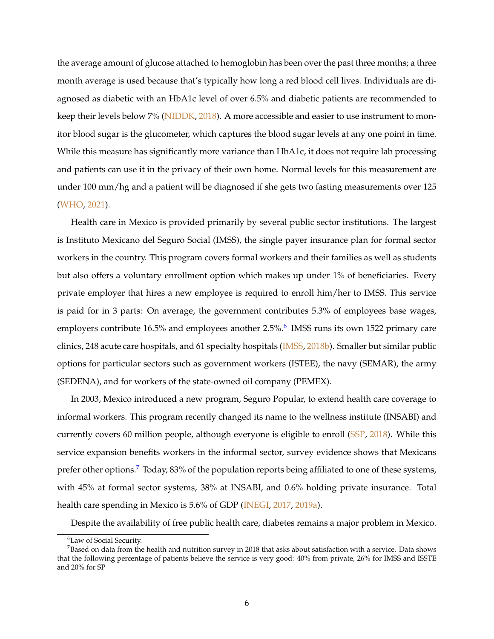<span id="page-6-2"></span>the average amount of glucose attached to hemoglobin has been over the past three months; a three month average is used because that's typically how long a red blood cell lives. Individuals are diagnosed as diabetic with an HbA1c level of over 6.5% and diabetic patients are recommended to keep their levels below 7% [\(NIDDK,](#page-41-7) [2018\)](#page-41-7). A more accessible and easier to use instrument to monitor blood sugar is the glucometer, which captures the blood sugar levels at any one point in time. While this measure has significantly more variance than HbA1c, it does not require lab processing and patients can use it in the privacy of their own home. Normal levels for this measurement are under 100 mm/hg and a patient will be diagnosed if she gets two fasting measurements over 125 [\(WHO,](#page-41-8) [2021\)](#page-41-8).

Health care in Mexico is provided primarily by several public sector institutions. The largest is Instituto Mexicano del Seguro Social (IMSS), the single payer insurance plan for formal sector workers in the country. This program covers formal workers and their families as well as students but also offers a voluntary enrollment option which makes up under 1% of beneficiaries. Every private employer that hires a new employee is required to enroll him/her to IMSS. This service is paid for in 3 parts: On average, the government contributes 5.3% of employees base wages, employers contribute 1[6](#page-6-0).5% and employees another 2.5%.<sup>6</sup> IMSS runs its own 1522 primary care clinics, 248 acute care hospitals, and 61 specialty hospitals [\(IMSS,](#page-40-15) [2018b\)](#page-40-15). Smaller but similar public options for particular sectors such as government workers (ISTEE), the navy (SEMAR), the army (SEDENA), and for workers of the state-owned oil company (PEMEX).

In 2003, Mexico introduced a new program, Seguro Popular, to extend health care coverage to informal workers. This program recently changed its name to the wellness institute (INSABI) and currently covers 60 million people, although everyone is eligible to enroll [\(SSP,](#page-41-9) [2018\)](#page-41-9). While this service expansion benefits workers in the informal sector, survey evidence shows that Mexicans prefer other options.<sup>[7](#page-6-1)</sup> Today, 83% of the population reports being affiliated to one of these systems, with 45% at formal sector systems, 38% at INSABI, and 0.6% holding private insurance. Total health care spending in Mexico is 5.6% of GDP [\(INEGI,](#page-40-16) [2017,](#page-40-16) [2019a\)](#page-40-17).

Despite the availability of free public health care, diabetes remains a major problem in Mexico.

<span id="page-6-1"></span><span id="page-6-0"></span><sup>&</sup>lt;sup>6</sup>Law of Social Security.

 $<sup>7</sup>$ Based on data from the health and nutrition survey in 2018 that asks about satisfaction with a service. Data shows</sup> that the following percentage of patients believe the service is very good: 40% from private, 26% for IMSS and ISSTE and 20% for SP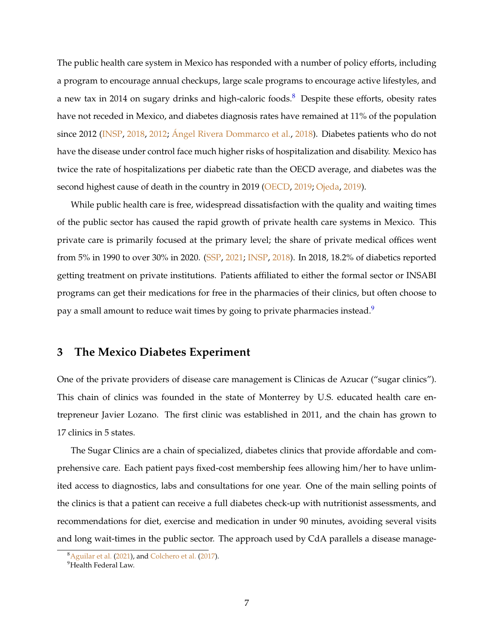<span id="page-7-3"></span>The public health care system in Mexico has responded with a number of policy efforts, including a program to encourage annual checkups, large scale programs to encourage active lifestyles, and a new tax in 2014 on sugary drinks and high-caloric foods.<sup>[8](#page-7-1)</sup> Despite these efforts, obesity rates have not receded in Mexico, and diabetes diagnosis rates have remained at 11% of the population since 2012 [\(INSP,](#page-40-3) [2018,](#page-40-3) [2012;](#page-40-18) [Ángel Rivera Dommarco et al.,](#page-41-10) [2018\)](#page-41-10). Diabetes patients who do not have the disease under control face much higher risks of hospitalization and disability. Mexico has twice the rate of hospitalizations per diabetic rate than the OECD average, and diabetes was the second highest cause of death in the country in 2019 [\(OECD,](#page-41-1) [2019;](#page-41-1) [Ojeda,](#page-41-11) [2019\)](#page-41-11).

While public health care is free, widespread dissatisfaction with the quality and waiting times of the public sector has caused the rapid growth of private health care systems in Mexico. This private care is primarily focused at the primary level; the share of private medical offices went from 5% in 1990 to over 30% in 2020. [\(SSP,](#page-41-2) [2021;](#page-41-2) [INSP,](#page-40-3) [2018\)](#page-40-3). In 2018, 18.2% of diabetics reported getting treatment on private institutions. Patients affiliated to either the formal sector or INSABI programs can get their medications for free in the pharmacies of their clinics, but often choose to pay a small amount to reduce wait times by going to private pharmacies instead.<sup>[9](#page-7-2)</sup>

## <span id="page-7-0"></span>**3 The Mexico Diabetes Experiment**

One of the private providers of disease care management is Clinicas de Azucar ("sugar clinics"). This chain of clinics was founded in the state of Monterrey by U.S. educated health care entrepreneur Javier Lozano. The first clinic was established in 2011, and the chain has grown to 17 clinics in 5 states.

The Sugar Clinics are a chain of specialized, diabetes clinics that provide affordable and comprehensive care. Each patient pays fixed-cost membership fees allowing him/her to have unlimited access to diagnostics, labs and consultations for one year. One of the main selling points of the clinics is that a patient can receive a full diabetes check-up with nutritionist assessments, and recommendations for diet, exercise and medication in under 90 minutes, avoiding several visits and long wait-times in the public sector. The approach used by CdA parallels a disease manage-

<span id="page-7-1"></span><sup>8</sup>[Aguilar et al.](#page-40-19) [\(2021\)](#page-40-19), and [Colchero et al.](#page-40-20) [\(2017\)](#page-40-20).

<span id="page-7-2"></span><sup>&</sup>lt;sup>9</sup>Health Federal Law.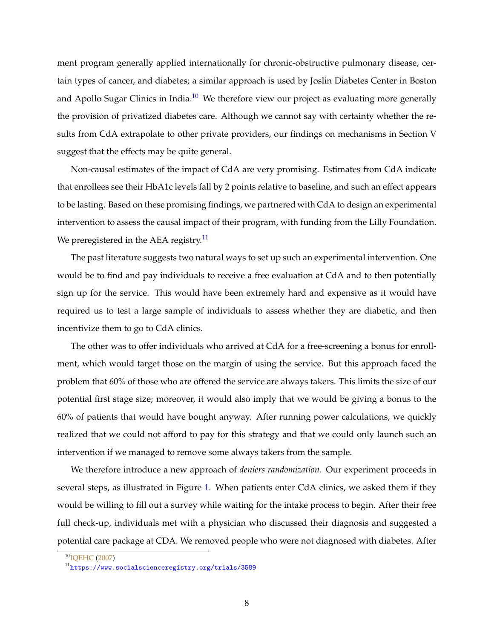<span id="page-8-2"></span>ment program generally applied internationally for chronic-obstructive pulmonary disease, certain types of cancer, and diabetes; a similar approach is used by Joslin Diabetes Center in Boston and Apollo Sugar Clinics in India.<sup>[10](#page-8-0)</sup> We therefore view our project as evaluating more generally the provision of privatized diabetes care. Although we cannot say with certainty whether the results from CdA extrapolate to other private providers, our findings on mechanisms in Section V suggest that the effects may be quite general.

Non-causal estimates of the impact of CdA are very promising. Estimates from CdA indicate that enrollees see their HbA1c levels fall by 2 points relative to baseline, and such an effect appears to be lasting. Based on these promising findings, we partnered with CdA to design an experimental intervention to assess the causal impact of their program, with funding from the Lilly Foundation. We preregistered in the AEA registry.<sup>[11](#page-8-1)</sup>

The past literature suggests two natural ways to set up such an experimental intervention. One would be to find and pay individuals to receive a free evaluation at CdA and to then potentially sign up for the service. This would have been extremely hard and expensive as it would have required us to test a large sample of individuals to assess whether they are diabetic, and then incentivize them to go to CdA clinics.

The other was to offer individuals who arrived at CdA for a free-screening a bonus for enrollment, which would target those on the margin of using the service. But this approach faced the problem that 60% of those who are offered the service are always takers. This limits the size of our potential first stage size; moreover, it would also imply that we would be giving a bonus to the 60% of patients that would have bought anyway. After running power calculations, we quickly realized that we could not afford to pay for this strategy and that we could only launch such an intervention if we managed to remove some always takers from the sample.

We therefore introduce a new approach of *deniers randomization*. Our experiment proceeds in several steps, as illustrated in Figure [1.](#page-35-0) When patients enter CdA clinics, we asked them if they would be willing to fill out a survey while waiting for the intake process to begin. After their free full check-up, individuals met with a physician who discussed their diagnosis and suggested a potential care package at CDA. We removed people who were not diagnosed with diabetes. After

<span id="page-8-0"></span><sup>&</sup>lt;sup>10</sup>IOEHC [\(2007\)](#page-41-12)

<span id="page-8-1"></span><sup>11</sup><https://www.socialscienceregistry.org/trials/3589>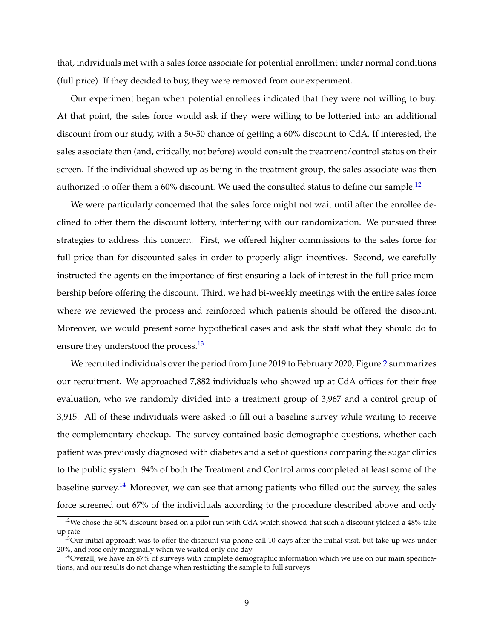that, individuals met with a sales force associate for potential enrollment under normal conditions (full price). If they decided to buy, they were removed from our experiment.

Our experiment began when potential enrollees indicated that they were not willing to buy. At that point, the sales force would ask if they were willing to be lotteried into an additional discount from our study, with a 50-50 chance of getting a 60% discount to CdA. If interested, the sales associate then (and, critically, not before) would consult the treatment/control status on their screen. If the individual showed up as being in the treatment group, the sales associate was then authorized to offer them a  $60\%$  discount. We used the consulted status to define our sample.<sup>[12](#page-9-0)</sup>

We were particularly concerned that the sales force might not wait until after the enrollee declined to offer them the discount lottery, interfering with our randomization. We pursued three strategies to address this concern. First, we offered higher commissions to the sales force for full price than for discounted sales in order to properly align incentives. Second, we carefully instructed the agents on the importance of first ensuring a lack of interest in the full-price membership before offering the discount. Third, we had bi-weekly meetings with the entire sales force where we reviewed the process and reinforced which patients should be offered the discount. Moreover, we would present some hypothetical cases and ask the staff what they should do to ensure they understood the process.<sup>[13](#page-9-1)</sup>

We recruited individuals over the period from June 2019 to February 2020, Figure [2](#page-36-0) summarizes our recruitment. We approached 7,882 individuals who showed up at CdA offices for their free evaluation, who we randomly divided into a treatment group of 3,967 and a control group of 3,915. All of these individuals were asked to fill out a baseline survey while waiting to receive the complementary checkup. The survey contained basic demographic questions, whether each patient was previously diagnosed with diabetes and a set of questions comparing the sugar clinics to the public system. 94% of both the Treatment and Control arms completed at least some of the baseline survey.<sup>[14](#page-9-2)</sup> Moreover, we can see that among patients who filled out the survey, the sales force screened out 67% of the individuals according to the procedure described above and only

<span id="page-9-0"></span> $12$ We chose the 60% discount based on a pilot run with CdA which showed that such a discount yielded a 48% take up rate

<span id="page-9-1"></span><sup>&</sup>lt;sup>13</sup>Our initial approach was to offer the discount via phone call 10 days after the initial visit, but take-up was under 20%, and rose only marginally when we waited only one day

<span id="page-9-2"></span><sup>&</sup>lt;sup>14</sup>Overall, we have an 87% of surveys with complete demographic information which we use on our main specifications, and our results do not change when restricting the sample to full surveys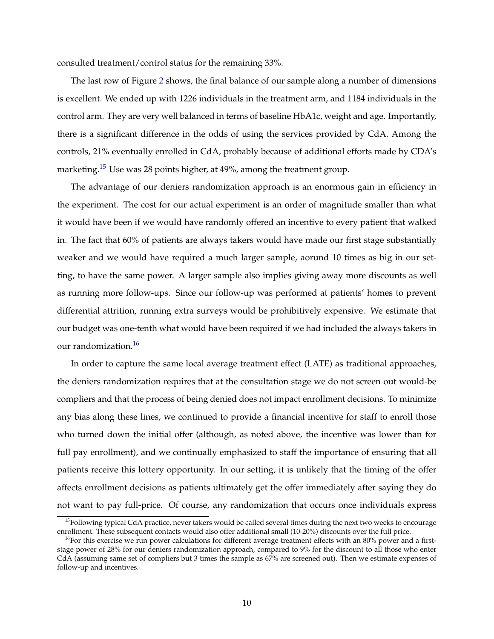consulted treatment/control status for the remaining 33%.

The last row of Figure [2](#page-36-0) shows, the final balance of our sample along a number of dimensions is excellent. We ended up with 1226 individuals in the treatment arm, and 1184 individuals in the control arm. They are very well balanced in terms of baseline HbA1c, weight and age. Importantly, there is a significant difference in the odds of using the services provided by CdA. Among the controls, 21% eventually enrolled in CdA, probably because of additional efforts made by CDA's marketing.<sup>[15](#page-10-0)</sup> Use was 28 points higher, at 49%, among the treatment group.

The advantage of our deniers randomization approach is an enormous gain in efficiency in the experiment. The cost for our actual experiment is an order of magnitude smaller than what it would have been if we would have randomly offered an incentive to every patient that walked in. The fact that 60% of patients are always takers would have made our first stage substantially weaker and we would have required a much larger sample, aorund 10 times as big in our setting, to have the same power. A larger sample also implies giving away more discounts as well as running more follow-ups. Since our follow-up was performed at patients' homes to prevent differential attrition, running extra surveys would be prohibitively expensive. We estimate that our budget was one-tenth what would have been required if we had included the always takers in our randomization.<sup>[16](#page-10-1)</sup>

In order to capture the same local average treatment effect (LATE) as traditional approaches, the deniers randomization requires that at the consultation stage we do not screen out would-be compliers and that the process of being denied does not impact enrollment decisions. To minimize any bias along these lines, we continued to provide a financial incentive for staff to enroll those who turned down the initial offer (although, as noted above, the incentive was lower than for full pay enrollment), and we continually emphasized to staff the importance of ensuring that all patients receive this lottery opportunity. In our setting, it is unlikely that the timing of the offer affects enrollment decisions as patients ultimately get the offer immediately after saying they do not want to pay full-price. Of course, any randomization that occurs once individuals express

<span id="page-10-0"></span> $15$ Following typical CdA practice, never takers would be called several times during the next two weeks to encourage enrollment. These subsequent contacts would also offer additional small (10-20%) discounts over the full price.

<span id="page-10-1"></span> $16$ For this exercise we run power calculations for different average treatment effects with an 80% power and a firststage power of 28% for our deniers randomization approach, compared to 9% for the discount to all those who enter CdA (assuming same set of compliers but 3 times the sample as 67% are screened out). Then we estimate expenses of follow-up and incentives.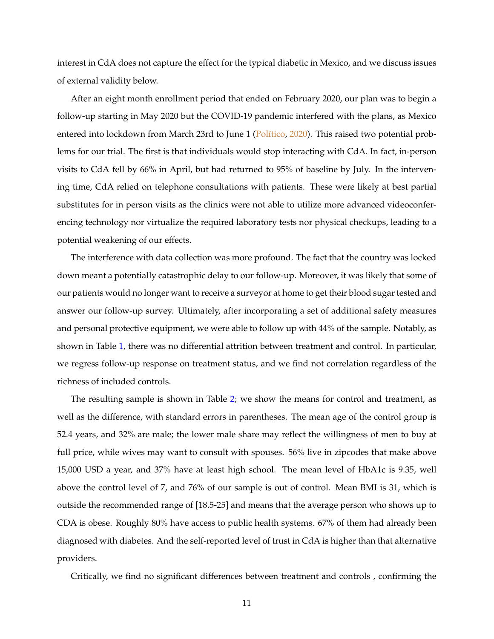<span id="page-11-0"></span>interest in CdA does not capture the effect for the typical diabetic in Mexico, and we discuss issues of external validity below.

After an eight month enrollment period that ended on February 2020, our plan was to begin a follow-up starting in May 2020 but the COVID-19 pandemic interfered with the plans, as Mexico entered into lockdown from March 23rd to June 1 [\(Político,](#page-41-13) [2020\)](#page-41-13). This raised two potential problems for our trial. The first is that individuals would stop interacting with CdA. In fact, in-person visits to CdA fell by 66% in April, but had returned to 95% of baseline by July. In the intervening time, CdA relied on telephone consultations with patients. These were likely at best partial substitutes for in person visits as the clinics were not able to utilize more advanced videoconferencing technology nor virtualize the required laboratory tests nor physical checkups, leading to a potential weakening of our effects.

The interference with data collection was more profound. The fact that the country was locked down meant a potentially catastrophic delay to our follow-up. Moreover, it was likely that some of our patients would no longer want to receive a surveyor at home to get their blood sugar tested and answer our follow-up survey. Ultimately, after incorporating a set of additional safety measures and personal protective equipment, we were able to follow up with 44% of the sample. Notably, as shown in Table [1,](#page-26-0) there was no differential attrition between treatment and control. In particular, we regress follow-up response on treatment status, and we find not correlation regardless of the richness of included controls.

The resulting sample is shown in Table [2;](#page-27-0) we show the means for control and treatment, as well as the difference, with standard errors in parentheses. The mean age of the control group is 52.4 years, and 32% are male; the lower male share may reflect the willingness of men to buy at full price, while wives may want to consult with spouses. 56% live in zipcodes that make above 15,000 USD a year, and 37% have at least high school. The mean level of HbA1c is 9.35, well above the control level of 7, and 76% of our sample is out of control. Mean BMI is 31, which is outside the recommended range of [18.5-25] and means that the average person who shows up to CDA is obese. Roughly 80% have access to public health systems. 67% of them had already been diagnosed with diabetes. And the self-reported level of trust in CdA is higher than that alternative providers.

Critically, we find no significant differences between treatment and controls , confirming the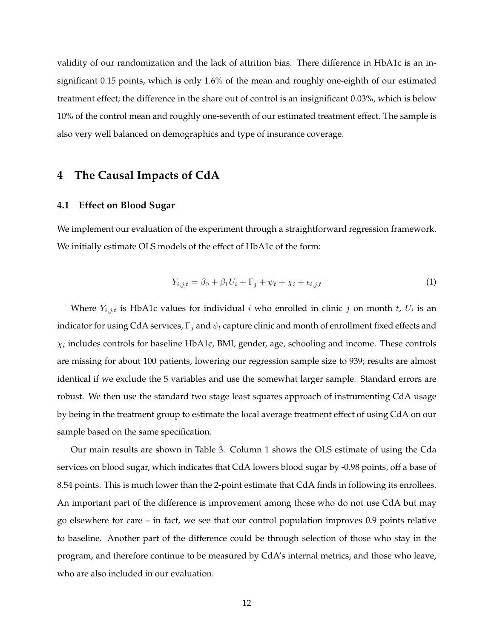validity of our randomization and the lack of attrition bias. There difference in HbA1c is an insignificant 0.15 points, which is only 1.6% of the mean and roughly one-eighth of our estimated treatment effect; the difference in the share out of control is an insignificant 0.03%, which is below 10% of the control mean and roughly one-seventh of our estimated treatment effect. The sample is also very well balanced on demographics and type of insurance coverage.

## <span id="page-12-0"></span>**4 The Causal Impacts of CdA**

#### **4.1 Effect on Blood Sugar**

We implement our evaluation of the experiment through a straightforward regression framework. We initially estimate OLS models of the effect of HbA1c of the form:

<span id="page-12-1"></span>
$$
Y_{i,j,t} = \beta_0 + \beta_1 U_i + \Gamma_j + \psi_t + \chi_i + \epsilon_{i,j,t} \tag{1}
$$

Where  $Y_{i,j,t}$  is HbA1c values for individual i who enrolled in clinic j on month t,  $U_i$  is an indicator for using CdA services,  $\Gamma_j$  and  $\psi_t$  capture clinic and month of enrollment fixed effects and  $\chi_i$  includes controls for baseline HbA1c, BMI, gender, age, schooling and income. These controls are missing for about 100 patients, lowering our regression sample size to 939; results are almost identical if we exclude the 5 variables and use the somewhat larger sample. Standard errors are robust. We then use the standard two stage least squares approach of instrumenting CdA usage by being in the treatment group to estimate the local average treatment effect of using CdA on our sample based on the same specification.

Our main results are shown in Table [3.](#page-28-0) Column 1 shows the OLS estimate of using the Cda services on blood sugar, which indicates that CdA lowers blood sugar by -0.98 points, off a base of 8.54 points. This is much lower than the 2-point estimate that CdA finds in following its enrollees. An important part of the difference is improvement among those who do not use CdA but may go elsewhere for care – in fact, we see that our control population improves 0.9 points relative to baseline. Another part of the difference could be through selection of those who stay in the program, and therefore continue to be measured by CdA's internal metrics, and those who leave, who are also included in our evaluation.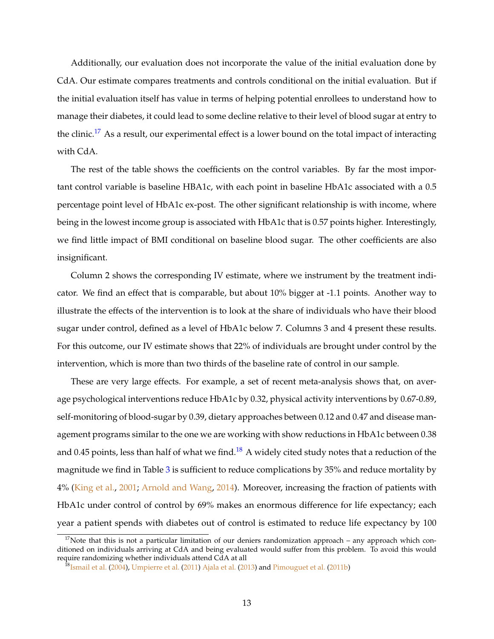<span id="page-13-2"></span>Additionally, our evaluation does not incorporate the value of the initial evaluation done by CdA. Our estimate compares treatments and controls conditional on the initial evaluation. But if the initial evaluation itself has value in terms of helping potential enrollees to understand how to manage their diabetes, it could lead to some decline relative to their level of blood sugar at entry to the clinic.<sup>[17](#page-13-0)</sup> As a result, our experimental effect is a lower bound on the total impact of interacting with CdA.

The rest of the table shows the coefficients on the control variables. By far the most important control variable is baseline HBA1c, with each point in baseline HbA1c associated with a 0.5 percentage point level of HbA1c ex-post. The other significant relationship is with income, where being in the lowest income group is associated with HbA1c that is 0.57 points higher. Interestingly, we find little impact of BMI conditional on baseline blood sugar. The other coefficients are also insignificant.

Column 2 shows the corresponding IV estimate, where we instrument by the treatment indicator. We find an effect that is comparable, but about 10% bigger at -1.1 points. Another way to illustrate the effects of the intervention is to look at the share of individuals who have their blood sugar under control, defined as a level of HbA1c below 7. Columns 3 and 4 present these results. For this outcome, our IV estimate shows that 22% of individuals are brought under control by the intervention, which is more than two thirds of the baseline rate of control in our sample.

These are very large effects. For example, a set of recent meta-analysis shows that, on average psychological interventions reduce HbA1c by 0.32, physical activity interventions by 0.67-0.89, self-monitoring of blood-sugar by 0.39, dietary approaches between 0.12 and 0.47 and disease management programs similar to the one we are working with show reductions in HbA1c between 0.38 and 0.45 points, less than half of what we find.<sup>[18](#page-13-1)</sup> A widely cited study notes that a reduction of the magnitude we find in Table [3](#page-28-0) is sufficient to reduce complications by 35% and reduce mortality by 4% [\(King et al.,](#page-41-14) [2001;](#page-41-14) [Arnold and Wang,](#page-40-21) [2014\)](#page-40-21). Moreover, increasing the fraction of patients with HbA1c under control of control by 69% makes an enormous difference for life expectancy; each year a patient spends with diabetes out of control is estimated to reduce life expectancy by 100

<span id="page-13-0"></span> $17$ Note that this is not a particular limitation of our deniers randomization approach – any approach which conditioned on individuals arriving at CdA and being evaluated would suffer from this problem. To avoid this would require randomizing whether individuals attend CdA at all

<span id="page-13-1"></span> $^{18}$ [Ismail et al.](#page-41-4) [\(2004\)](#page-41-4), [Umpierre et al.](#page-41-5) [\(2011\)](#page-41-5) [Ajala et al.](#page-40-11) [\(2013\)](#page-40-11) and [Pimouguet et al.](#page-41-6) [\(2011b\)](#page-41-6)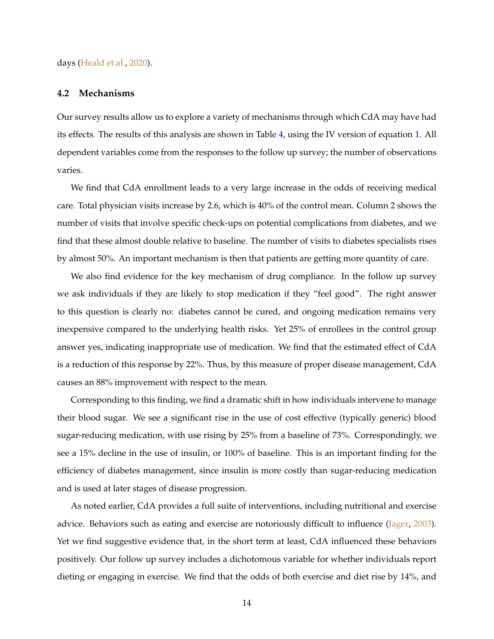<span id="page-14-0"></span>days [\(Heald et al.,](#page-40-22) [2020\)](#page-40-22).

#### **4.2 Mechanisms**

Our survey results allow us to explore a variety of mechanisms through which CdA may have had its effects. The results of this analysis are shown in Table [4,](#page-29-0) using the IV version of equation [1.](#page-12-1) All dependent variables come from the responses to the follow up survey; the number of observations varies.

We find that CdA enrollment leads to a very large increase in the odds of receiving medical care. Total physician visits increase by 2.6, which is 40% of the control mean. Column 2 shows the number of visits that involve specific check-ups on potential complications from diabetes, and we find that these almost double relative to baseline. The number of visits to diabetes specialists rises by almost 50%. An important mechanism is then that patients are getting more quantity of care.

We also find evidence for the key mechanism of drug compliance. In the follow up survey we ask individuals if they are likely to stop medication if they "feel good". The right answer to this question is clearly no: diabetes cannot be cured, and ongoing medication remains very inexpensive compared to the underlying health risks. Yet 25% of enrollees in the control group answer yes, indicating inappropriate use of medication. We find that the estimated effect of CdA is a reduction of this response by 22%. Thus, by this measure of proper disease management, CdA causes an 88% improvement with respect to the mean.

Corresponding to this finding, we find a dramatic shift in how individuals intervene to manage their blood sugar. We see a significant rise in the use of cost effective (typically generic) blood sugar-reducing medication, with use rising by 25% from a baseline of 73%. Correspondingly, we see a 15% decline in the use of insulin, or 100% of baseline. This is an important finding for the efficiency of diabetes management, since insulin is more costly than sugar-reducing medication and is used at later stages of disease progression.

As noted earlier, CdA provides a full suite of interventions, including nutritional and exercise advice. Behaviors such as eating and exercise are notoriously difficult to influence [\(Jager,](#page-41-15) [2003\)](#page-41-15). Yet we find suggestive evidence that, in the short term at least, CdA influenced these behaviors positively. Our follow up survey includes a dichotomous variable for whether individuals report dieting or engaging in exercise. We find that the odds of both exercise and diet rise by 14%, and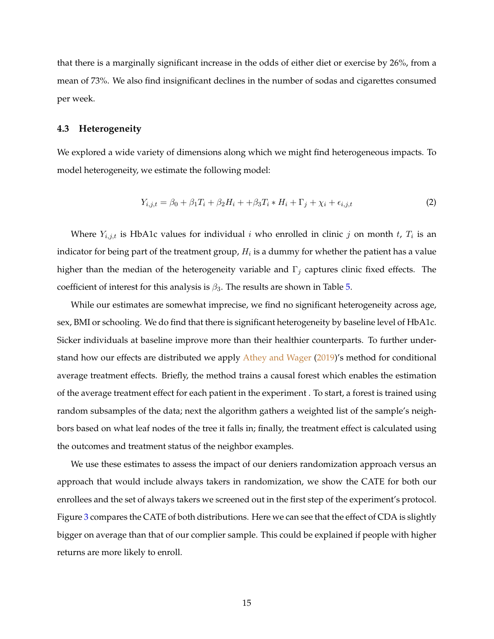<span id="page-15-2"></span>that there is a marginally significant increase in the odds of either diet or exercise by 26%, from a mean of 73%. We also find insignificant declines in the number of sodas and cigarettes consumed per week.

#### **4.3 Heterogeneity**

We explored a wide variety of dimensions along which we might find heterogeneous impacts. To model heterogeneity, we estimate the following model:

<span id="page-15-1"></span>
$$
Y_{i,j,t} = \beta_0 + \beta_1 T_i + \beta_2 H_i + \beta_3 T_i * H_i + \Gamma_j + \chi_i + \epsilon_{i,j,t}
$$
 (2)

Where  $Y_{i,j,t}$  is HbA1c values for individual i who enrolled in clinic j on month t,  $T_i$  is an indicator for being part of the treatment group,  $H_i$  is a dummy for whether the patient has a value higher than the median of the heterogeneity variable and  $\Gamma_j$  captures clinic fixed effects. The coefficient of interest for this analysis is  $\beta_3$ . The results are shown in Table [5.](#page-30-0)

While our estimates are somewhat imprecise, we find no significant heterogeneity across age, sex, BMI or schooling. We do find that there is significant heterogeneity by baseline level of HbA1c. Sicker individuals at baseline improve more than their healthier counterparts. To further understand how our effects are distributed we apply [Athey and Wager](#page-40-23) [\(2019\)](#page-40-23)'s method for conditional average treatment effects. Briefly, the method trains a causal forest which enables the estimation of the average treatment effect for each patient in the experiment . To start, a forest is trained using random subsamples of the data; next the algorithm gathers a weighted list of the sample's neighbors based on what leaf nodes of the tree it falls in; finally, the treatment effect is calculated using the outcomes and treatment status of the neighbor examples.

<span id="page-15-0"></span>We use these estimates to assess the impact of our deniers randomization approach versus an approach that would include always takers in randomization, we show the CATE for both our enrollees and the set of always takers we screened out in the first step of the experiment's protocol. Figure [3](#page-37-0) compares the CATE of both distributions. Here we can see that the effect of CDA is slightly bigger on average than that of our complier sample. This could be explained if people with higher returns are more likely to enroll.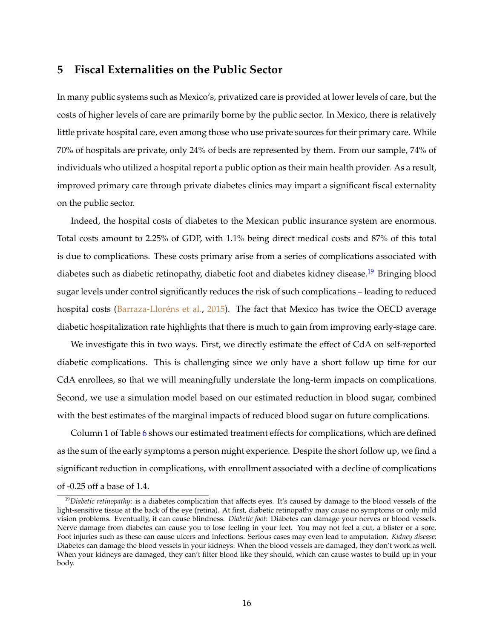## <span id="page-16-1"></span>**5 Fiscal Externalities on the Public Sector**

In many public systems such as Mexico's, privatized care is provided at lower levels of care, but the costs of higher levels of care are primarily borne by the public sector. In Mexico, there is relatively little private hospital care, even among those who use private sources for their primary care. While 70% of hospitals are private, only 24% of beds are represented by them. From our sample, 74% of individuals who utilized a hospital report a public option as their main health provider. As a result, improved primary care through private diabetes clinics may impart a significant fiscal externality on the public sector.

Indeed, the hospital costs of diabetes to the Mexican public insurance system are enormous. Total costs amount to 2.25% of GDP, with 1.1% being direct medical costs and 87% of this total is due to complications. These costs primary arise from a series of complications associated with diabetes such as diabetic retinopathy, diabetic foot and diabetes kidney disease.<sup>[19](#page-16-0)</sup> Bringing blood sugar levels under control significantly reduces the risk of such complications – leading to reduced hospital costs [\(Barraza-Lloréns et al.,](#page-40-1) [2015\)](#page-40-1). The fact that Mexico has twice the OECD average diabetic hospitalization rate highlights that there is much to gain from improving early-stage care.

We investigate this in two ways. First, we directly estimate the effect of CdA on self-reported diabetic complications. This is challenging since we only have a short follow up time for our CdA enrollees, so that we will meaningfully understate the long-term impacts on complications. Second, we use a simulation model based on our estimated reduction in blood sugar, combined with the best estimates of the marginal impacts of reduced blood sugar on future complications.

Column 1 of Table [6](#page-31-0) shows our estimated treatment effects for complications, which are defined as the sum of the early symptoms a person might experience. Despite the short follow up, we find a significant reduction in complications, with enrollment associated with a decline of complications of -0.25 off a base of 1.4.

<span id="page-16-0"></span><sup>&</sup>lt;sup>19</sup>Diabetic retinopathy: is a diabetes complication that affects eyes. It's caused by damage to the blood vessels of the light-sensitive tissue at the back of the eye (retina). At first, diabetic retinopathy may cause no symptoms or only mild vision problems. Eventually, it can cause blindness. *Diabetic foot*: Diabetes can damage your nerves or blood vessels. Nerve damage from diabetes can cause you to lose feeling in your feet. You may not feel a cut, a blister or a sore. Foot injuries such as these can cause ulcers and infections. Serious cases may even lead to amputation. *Kidney disease*: Diabetes can damage the blood vessels in your kidneys. When the blood vessels are damaged, they don't work as well. When your kidneys are damaged, they can't filter blood like they should, which can cause wastes to build up in your body.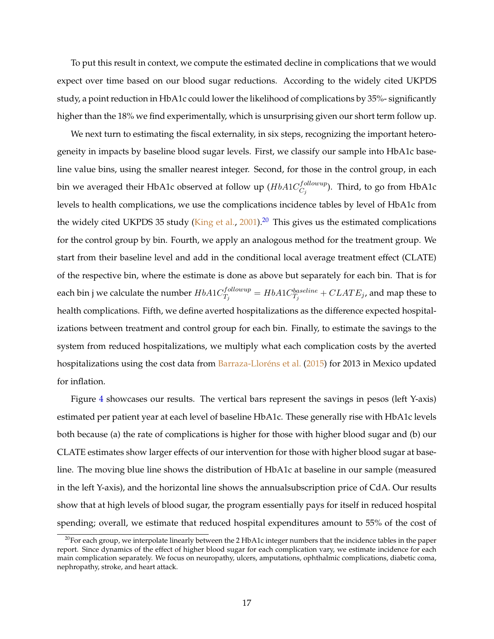<span id="page-17-1"></span>To put this result in context, we compute the estimated decline in complications that we would expect over time based on our blood sugar reductions. According to the widely cited UKPDS study, a point reduction in HbA1c could lower the likelihood of complications by 35%- significantly higher than the 18% we find experimentally, which is unsurprising given our short term follow up.

We next turn to estimating the fiscal externality, in six steps, recognizing the important heterogeneity in impacts by baseline blood sugar levels. First, we classify our sample into HbA1c baseline value bins, using the smaller nearest integer. Second, for those in the control group, in each bin we averaged their HbA1c observed at follow up ( $HbA1C_{C\bar{c}}^{following}$  $C_j^{(j\,on\,on\,\mu)}$ ). Third, to go from HbA1c levels to health complications, we use the complications incidence tables by level of HbA1c from the widely cited UKPDS 35 study [\(King et al.,](#page-41-14) [2001\)](#page-41-14).<sup>[20](#page-17-0)</sup> This gives us the estimated complications for the control group by bin. Fourth, we apply an analogous method for the treatment group. We start from their baseline level and add in the conditional local average treatment effect (CLATE) of the respective bin, where the estimate is done as above but separately for each bin. That is for each bin j we calculate the number  $HbA1C_{T_s}^{followup}$  $T_j^{following}=HbA1C^{baseline}_{T_j}+CLATE_j$ , and map these to health complications. Fifth, we define averted hospitalizations as the difference expected hospitalizations between treatment and control group for each bin. Finally, to estimate the savings to the system from reduced hospitalizations, we multiply what each complication costs by the averted hospitalizations using the cost data from [Barraza-Lloréns et al.](#page-40-1) [\(2015\)](#page-40-1) for 2013 in Mexico updated for inflation.

Figure [4](#page-38-0) showcases our results. The vertical bars represent the savings in pesos (left Y-axis) estimated per patient year at each level of baseline HbA1c. These generally rise with HbA1c levels both because (a) the rate of complications is higher for those with higher blood sugar and (b) our CLATE estimates show larger effects of our intervention for those with higher blood sugar at baseline. The moving blue line shows the distribution of HbA1c at baseline in our sample (measured in the left Y-axis), and the horizontal line shows the annualsubscription price of CdA. Our results show that at high levels of blood sugar, the program essentially pays for itself in reduced hospital spending; overall, we estimate that reduced hospital expenditures amount to 55% of the cost of

<span id="page-17-0"></span><sup>&</sup>lt;sup>20</sup>For each group, we interpolate linearly between the 2 HbA1c integer numbers that the incidence tables in the paper report. Since dynamics of the effect of higher blood sugar for each complication vary, we estimate incidence for each main complication separately. We focus on neuropathy, ulcers, amputations, ophthalmic complications, diabetic coma, nephropathy, stroke, and heart attack.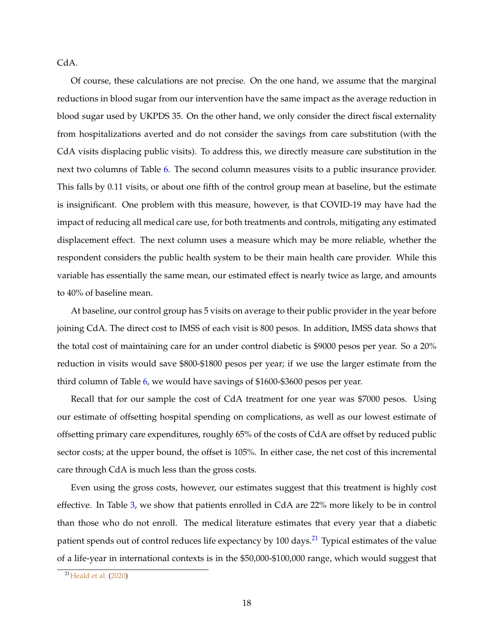<span id="page-18-1"></span>CdA.

Of course, these calculations are not precise. On the one hand, we assume that the marginal reductions in blood sugar from our intervention have the same impact as the average reduction in blood sugar used by UKPDS 35. On the other hand, we only consider the direct fiscal externality from hospitalizations averted and do not consider the savings from care substitution (with the CdA visits displacing public visits). To address this, we directly measure care substitution in the next two columns of Table [6.](#page-31-0) The second column measures visits to a public insurance provider. This falls by 0.11 visits, or about one fifth of the control group mean at baseline, but the estimate is insignificant. One problem with this measure, however, is that COVID-19 may have had the impact of reducing all medical care use, for both treatments and controls, mitigating any estimated displacement effect. The next column uses a measure which may be more reliable, whether the respondent considers the public health system to be their main health care provider. While this variable has essentially the same mean, our estimated effect is nearly twice as large, and amounts to 40% of baseline mean.

At baseline, our control group has 5 visits on average to their public provider in the year before joining CdA. The direct cost to IMSS of each visit is 800 pesos. In addition, IMSS data shows that the total cost of maintaining care for an under control diabetic is \$9000 pesos per year. So a 20% reduction in visits would save \$800-\$1800 pesos per year; if we use the larger estimate from the third column of Table [6,](#page-31-0) we would have savings of \$1600-\$3600 pesos per year.

Recall that for our sample the cost of CdA treatment for one year was \$7000 pesos. Using our estimate of offsetting hospital spending on complications, as well as our lowest estimate of offsetting primary care expenditures, roughly 65% of the costs of CdA are offset by reduced public sector costs; at the upper bound, the offset is 105%. In either case, the net cost of this incremental care through CdA is much less than the gross costs.

Even using the gross costs, however, our estimates suggest that this treatment is highly cost effective. In Table [3,](#page-28-0) we show that patients enrolled in CdA are 22% more likely to be in control than those who do not enroll. The medical literature estimates that every year that a diabetic patient spends out of control reduces life expectancy by 100 days.<sup>[21](#page-18-0)</sup> Typical estimates of the value of a life-year in international contexts is in the \$50,000-\$100,000 range, which would suggest that

<span id="page-18-0"></span><sup>21</sup>[Heald et al.](#page-40-22) [\(2020\)](#page-40-22)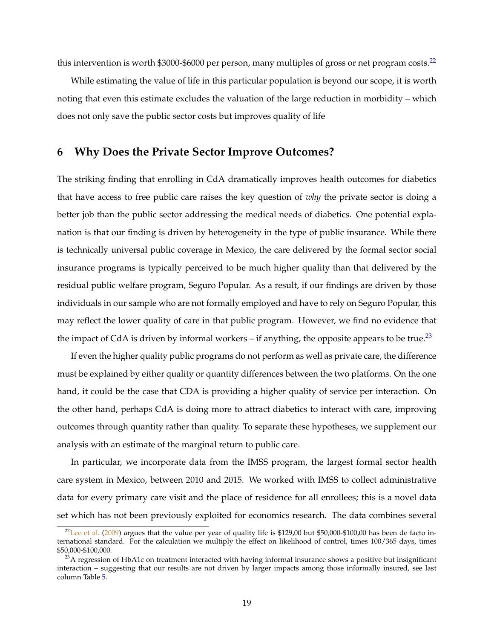<span id="page-19-3"></span>this intervention is worth  $$3000-$6000$  per person, many multiples of gross or net program costs.<sup>[22](#page-19-1)</sup>

While estimating the value of life in this particular population is beyond our scope, it is worth noting that even this estimate excludes the valuation of the large reduction in morbidity – which does not only save the public sector costs but improves quality of life

## <span id="page-19-0"></span>**6 Why Does the Private Sector Improve Outcomes?**

The striking finding that enrolling in CdA dramatically improves health outcomes for diabetics that have access to free public care raises the key question of *why* the private sector is doing a better job than the public sector addressing the medical needs of diabetics. One potential explanation is that our finding is driven by heterogeneity in the type of public insurance. While there is technically universal public coverage in Mexico, the care delivered by the formal sector social insurance programs is typically perceived to be much higher quality than that delivered by the residual public welfare program, Seguro Popular. As a result, if our findings are driven by those individuals in our sample who are not formally employed and have to rely on Seguro Popular, this may reflect the lower quality of care in that public program. However, we find no evidence that the impact of CdA is driven by informal workers – if anything, the opposite appears to be true.<sup>[23](#page-19-2)</sup>

If even the higher quality public programs do not perform as well as private care, the difference must be explained by either quality or quantity differences between the two platforms. On the one hand, it could be the case that CDA is providing a higher quality of service per interaction. On the other hand, perhaps CdA is doing more to attract diabetics to interact with care, improving outcomes through quantity rather than quality. To separate these hypotheses, we supplement our analysis with an estimate of the marginal return to public care.

In particular, we incorporate data from the IMSS program, the largest formal sector health care system in Mexico, between 2010 and 2015. We worked with IMSS to collect administrative data for every primary care visit and the place of residence for all enrollees; this is a novel data set which has not been previously exploited for economics research. The data combines several

<span id="page-19-1"></span> $22$ [Lee et al.](#page-41-16) [\(2009\)](#page-41-16) argues that the value per year of quality life is \$129,00 but \$50,000-\$100,00 has been de facto international standard. For the calculation we multiply the effect on likelihood of control, times 100/365 days, times \$50,000-\$100,000.

<span id="page-19-2"></span> $23A$  regression of HbA1c on treatment interacted with having informal insurance shows a positive but insignificant interaction – suggesting that our results are not driven by larger impacts among those informally insured, see last column Table [5.](#page-30-0)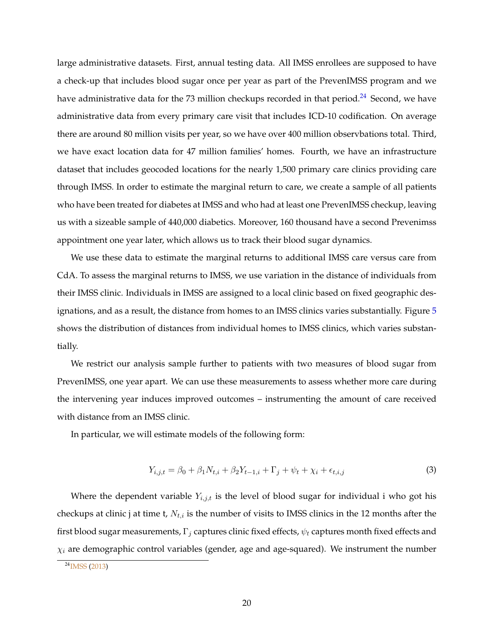<span id="page-20-2"></span>large administrative datasets. First, annual testing data. All IMSS enrollees are supposed to have a check-up that includes blood sugar once per year as part of the PrevenIMSS program and we have administrative data for the 73 million checkups recorded in that period.<sup>[24](#page-20-0)</sup> Second, we have administrative data from every primary care visit that includes ICD-10 codification. On average there are around 80 million visits per year, so we have over 400 million observbations total. Third, we have exact location data for 47 million families' homes. Fourth, we have an infrastructure dataset that includes geocoded locations for the nearly 1,500 primary care clinics providing care through IMSS. In order to estimate the marginal return to care, we create a sample of all patients who have been treated for diabetes at IMSS and who had at least one PrevenIMSS checkup, leaving us with a sizeable sample of 440,000 diabetics. Moreover, 160 thousand have a second Prevenimss appointment one year later, which allows us to track their blood sugar dynamics.

We use these data to estimate the marginal returns to additional IMSS care versus care from CdA. To assess the marginal returns to IMSS, we use variation in the distance of individuals from their IMSS clinic. Individuals in IMSS are assigned to a local clinic based on fixed geographic designations, and as a result, the distance from homes to an IMSS clinics varies substantially. Figure [5](#page-39-0) shows the distribution of distances from individual homes to IMSS clinics, which varies substantially.

We restrict our analysis sample further to patients with two measures of blood sugar from PrevenIMSS, one year apart. We can use these measurements to assess whether more care during the intervening year induces improved outcomes – instrumenting the amount of care received with distance from an IMSS clinic.

In particular, we will estimate models of the following form:

<span id="page-20-1"></span>
$$
Y_{i,j,t} = \beta_0 + \beta_1 N_{t,i} + \beta_2 Y_{t-1,i} + \Gamma_j + \psi_t + \chi_i + \epsilon_{t,i,j}
$$
(3)

Where the dependent variable  $Y_{i,j,t}$  is the level of blood sugar for individual i who got his checkups at clinic j at time t,  $N_{t,i}$  is the number of visits to IMSS clinics in the 12 months after the first blood sugar measurements,  $\Gamma_j$  captures clinic fixed effects,  $\psi_t$  captures month fixed effects and  $\chi_i$  are demographic control variables (gender, age and age-squared). We instrument the number

<span id="page-20-0"></span> $24$ <sub>[IMSS](#page-40-24)</sub> [\(2013\)](#page-40-24)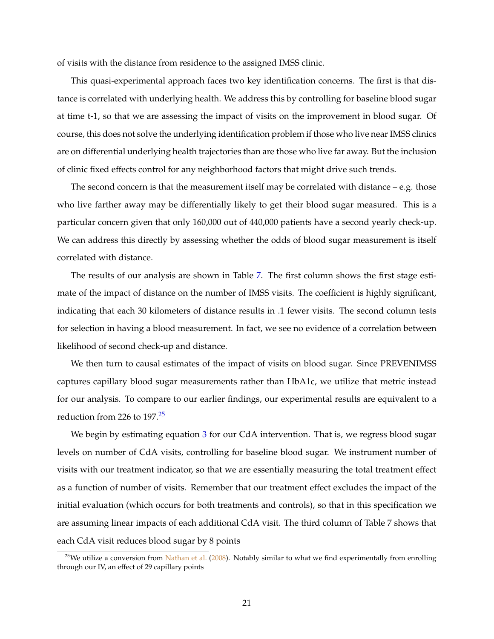<span id="page-21-1"></span>of visits with the distance from residence to the assigned IMSS clinic.

This quasi-experimental approach faces two key identification concerns. The first is that distance is correlated with underlying health. We address this by controlling for baseline blood sugar at time t-1, so that we are assessing the impact of visits on the improvement in blood sugar. Of course, this does not solve the underlying identification problem if those who live near IMSS clinics are on differential underlying health trajectories than are those who live far away. But the inclusion of clinic fixed effects control for any neighborhood factors that might drive such trends.

The second concern is that the measurement itself may be correlated with distance  $-$  e.g. those who live farther away may be differentially likely to get their blood sugar measured. This is a particular concern given that only 160,000 out of 440,000 patients have a second yearly check-up. We can address this directly by assessing whether the odds of blood sugar measurement is itself correlated with distance.

The results of our analysis are shown in Table [7.](#page-32-0) The first column shows the first stage estimate of the impact of distance on the number of IMSS visits. The coefficient is highly significant, indicating that each 30 kilometers of distance results in .1 fewer visits. The second column tests for selection in having a blood measurement. In fact, we see no evidence of a correlation between likelihood of second check-up and distance.

We then turn to causal estimates of the impact of visits on blood sugar. Since PREVENIMSS captures capillary blood sugar measurements rather than HbA1c, we utilize that metric instead for our analysis. To compare to our earlier findings, our experimental results are equivalent to a reduction from 226 to 197.[25](#page-21-0)

We begin by estimating equation [3](#page-20-1) for our CdA intervention. That is, we regress blood sugar levels on number of CdA visits, controlling for baseline blood sugar. We instrument number of visits with our treatment indicator, so that we are essentially measuring the total treatment effect as a function of number of visits. Remember that our treatment effect excludes the impact of the initial evaluation (which occurs for both treatments and controls), so that in this specification we are assuming linear impacts of each additional CdA visit. The third column of Table 7 shows that each CdA visit reduces blood sugar by 8 points

<span id="page-21-0"></span> $^{25}$ We utilize a conversion from [Nathan et al.](#page-41-17) [\(2008\)](#page-41-17). Notably similar to what we find experimentally from enrolling through our IV, an effect of 29 capillary points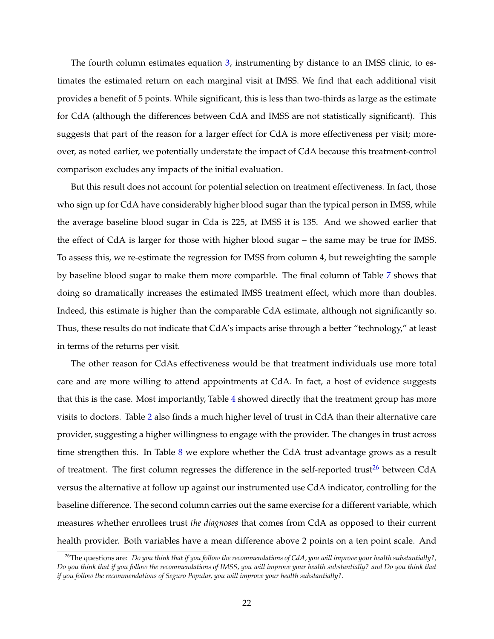The fourth column estimates equation [3,](#page-20-1) instrumenting by distance to an IMSS clinic, to estimates the estimated return on each marginal visit at IMSS. We find that each additional visit provides a benefit of 5 points. While significant, this is less than two-thirds as large as the estimate for CdA (although the differences between CdA and IMSS are not statistically significant). This suggests that part of the reason for a larger effect for CdA is more effectiveness per visit; moreover, as noted earlier, we potentially understate the impact of CdA because this treatment-control comparison excludes any impacts of the initial evaluation.

But this result does not account for potential selection on treatment effectiveness. In fact, those who sign up for CdA have considerably higher blood sugar than the typical person in IMSS, while the average baseline blood sugar in Cda is 225, at IMSS it is 135. And we showed earlier that the effect of CdA is larger for those with higher blood sugar – the same may be true for IMSS. To assess this, we re-estimate the regression for IMSS from column 4, but reweighting the sample by baseline blood sugar to make them more comparble. The final column of Table [7](#page-32-0) shows that doing so dramatically increases the estimated IMSS treatment effect, which more than doubles. Indeed, this estimate is higher than the comparable CdA estimate, although not significantly so. Thus, these results do not indicate that CdA's impacts arise through a better "technology," at least in terms of the returns per visit.

The other reason for CdAs effectiveness would be that treatment individuals use more total care and are more willing to attend appointments at CdA. In fact, a host of evidence suggests that this is the case. Most importantly, Table [4](#page-29-0) showed directly that the treatment group has more visits to doctors. Table [2](#page-27-0) also finds a much higher level of trust in CdA than their alternative care provider, suggesting a higher willingness to engage with the provider. The changes in trust across time strengthen this. In Table [8](#page-33-0) we explore whether the CdA trust advantage grows as a result of treatment. The first column regresses the difference in the self-reported trust<sup>[26](#page-22-0)</sup> between  $CdA$ versus the alternative at follow up against our instrumented use CdA indicator, controlling for the baseline difference. The second column carries out the same exercise for a different variable, which measures whether enrollees trust *the diagnoses* that comes from CdA as opposed to their current health provider. Both variables have a mean difference above 2 points on a ten point scale. And

<span id="page-22-0"></span><sup>26</sup>The questions are: *Do you think that if you follow the recommendations of CdA, you will improve your health substantially?, Do you think that if you follow the recommendations of IMSS, you will improve your health substantially? and Do you think that if you follow the recommendations of Seguro Popular, you will improve your health substantially?*.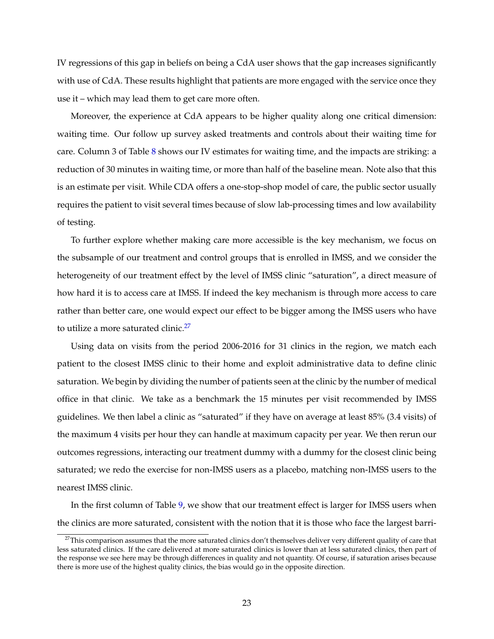IV regressions of this gap in beliefs on being a CdA user shows that the gap increases significantly with use of CdA. These results highlight that patients are more engaged with the service once they use it – which may lead them to get care more often.

Moreover, the experience at CdA appears to be higher quality along one critical dimension: waiting time. Our follow up survey asked treatments and controls about their waiting time for care. Column 3 of Table [8](#page-33-0) shows our IV estimates for waiting time, and the impacts are striking: a reduction of 30 minutes in waiting time, or more than half of the baseline mean. Note also that this is an estimate per visit. While CDA offers a one-stop-shop model of care, the public sector usually requires the patient to visit several times because of slow lab-processing times and low availability of testing.

To further explore whether making care more accessible is the key mechanism, we focus on the subsample of our treatment and control groups that is enrolled in IMSS, and we consider the heterogeneity of our treatment effect by the level of IMSS clinic "saturation", a direct measure of how hard it is to access care at IMSS. If indeed the key mechanism is through more access to care rather than better care, one would expect our effect to be bigger among the IMSS users who have to utilize a more saturated clinic.<sup>[27](#page-23-0)</sup>

Using data on visits from the period 2006-2016 for 31 clinics in the region, we match each patient to the closest IMSS clinic to their home and exploit administrative data to define clinic saturation. We begin by dividing the number of patients seen at the clinic by the number of medical office in that clinic. We take as a benchmark the 15 minutes per visit recommended by IMSS guidelines. We then label a clinic as "saturated" if they have on average at least 85% (3.4 visits) of the maximum 4 visits per hour they can handle at maximum capacity per year. We then rerun our outcomes regressions, interacting our treatment dummy with a dummy for the closest clinic being saturated; we redo the exercise for non-IMSS users as a placebo, matching non-IMSS users to the nearest IMSS clinic.

In the first column of Table [9,](#page-34-0) we show that our treatment effect is larger for IMSS users when the clinics are more saturated, consistent with the notion that it is those who face the largest barri-

<span id="page-23-0"></span><sup>&</sup>lt;sup>27</sup>This comparison assumes that the more saturated clinics don't themselves deliver very different quality of care that less saturated clinics. If the care delivered at more saturated clinics is lower than at less saturated clinics, then part of the response we see here may be through differences in quality and not quantity. Of course, if saturation arises because there is more use of the highest quality clinics, the bias would go in the opposite direction.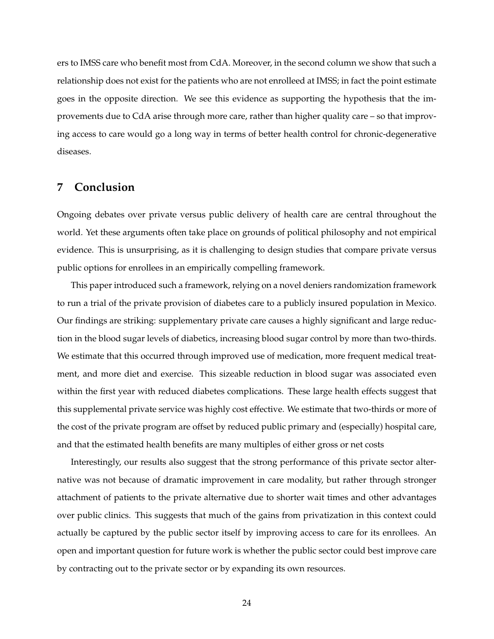ers to IMSS care who benefit most from CdA. Moreover, in the second column we show that such a relationship does not exist for the patients who are not enrolleed at IMSS; in fact the point estimate goes in the opposite direction. We see this evidence as supporting the hypothesis that the improvements due to CdA arise through more care, rather than higher quality care – so that improving access to care would go a long way in terms of better health control for chronic-degenerative diseases.

## <span id="page-24-0"></span>**7 Conclusion**

Ongoing debates over private versus public delivery of health care are central throughout the world. Yet these arguments often take place on grounds of political philosophy and not empirical evidence. This is unsurprising, as it is challenging to design studies that compare private versus public options for enrollees in an empirically compelling framework.

This paper introduced such a framework, relying on a novel deniers randomization framework to run a trial of the private provision of diabetes care to a publicly insured population in Mexico. Our findings are striking: supplementary private care causes a highly significant and large reduction in the blood sugar levels of diabetics, increasing blood sugar control by more than two-thirds. We estimate that this occurred through improved use of medication, more frequent medical treatment, and more diet and exercise. This sizeable reduction in blood sugar was associated even within the first year with reduced diabetes complications. These large health effects suggest that this supplemental private service was highly cost effective. We estimate that two-thirds or more of the cost of the private program are offset by reduced public primary and (especially) hospital care, and that the estimated health benefits are many multiples of either gross or net costs

Interestingly, our results also suggest that the strong performance of this private sector alternative was not because of dramatic improvement in care modality, but rather through stronger attachment of patients to the private alternative due to shorter wait times and other advantages over public clinics. This suggests that much of the gains from privatization in this context could actually be captured by the public sector itself by improving access to care for its enrollees. An open and important question for future work is whether the public sector could best improve care by contracting out to the private sector or by expanding its own resources.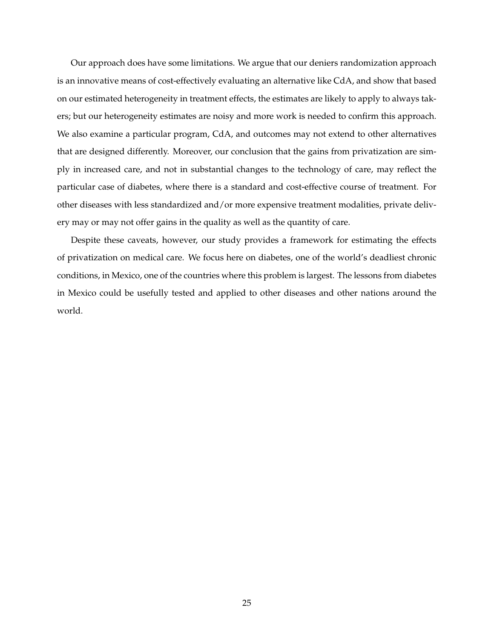Our approach does have some limitations. We argue that our deniers randomization approach is an innovative means of cost-effectively evaluating an alternative like CdA, and show that based on our estimated heterogeneity in treatment effects, the estimates are likely to apply to always takers; but our heterogeneity estimates are noisy and more work is needed to confirm this approach. We also examine a particular program, CdA, and outcomes may not extend to other alternatives that are designed differently. Moreover, our conclusion that the gains from privatization are simply in increased care, and not in substantial changes to the technology of care, may reflect the particular case of diabetes, where there is a standard and cost-effective course of treatment. For other diseases with less standardized and/or more expensive treatment modalities, private delivery may or may not offer gains in the quality as well as the quantity of care.

Despite these caveats, however, our study provides a framework for estimating the effects of privatization on medical care. We focus here on diabetes, one of the world's deadliest chronic conditions, in Mexico, one of the countries where this problem is largest. The lessons from diabetes in Mexico could be usefully tested and applied to other diseases and other nations around the world.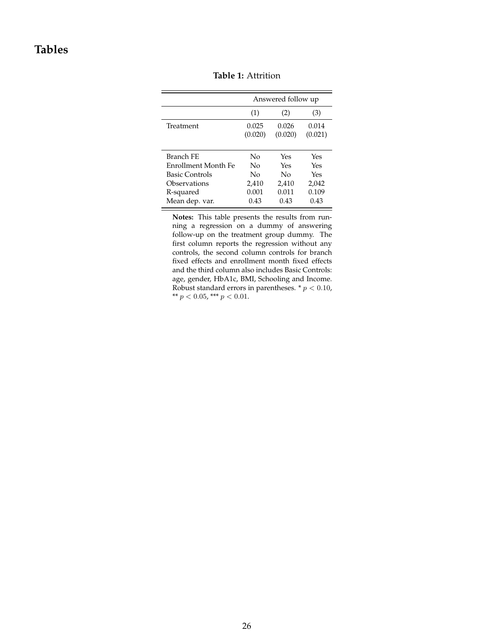## <span id="page-26-0"></span>**Tables**

|                       |                  | Answered follow up |                  |
|-----------------------|------------------|--------------------|------------------|
|                       | (1)              | (2)                | (3)              |
| Treatment             | 0.025<br>(0.020) | 0.026<br>(0.020)   | 0.014<br>(0.021) |
| Branch FE             | No               | Yes                | Yes              |
| Enrollment Month Fe   | Nο               | Yes                | Yes              |
| <b>Basic Controls</b> | $\overline{N}$   | $\overline{N}_{0}$ | Yes              |
| Observations          | 2,410            | 2,410              | 2,042            |
| R-squared             | 0.001            | 0.011              | 0.109            |
| Mean dep. var.        | 0.43             | 0.43               | 0.43             |

**Table 1:** Attrition

**Notes:** This table presents the results from running a regression on a dummy of answering follow-up on the treatment group dummy. The first column reports the regression without any controls, the second column controls for branch fixed effects and enrollment month fixed effects and the third column also includes Basic Controls: age, gender, HbA1c, BMI, Schooling and Income. Robust standard errors in parentheses. \* $p < 0.10,$ \*\* $p < 0.05$  ,\*\*\* $p < 0.01.$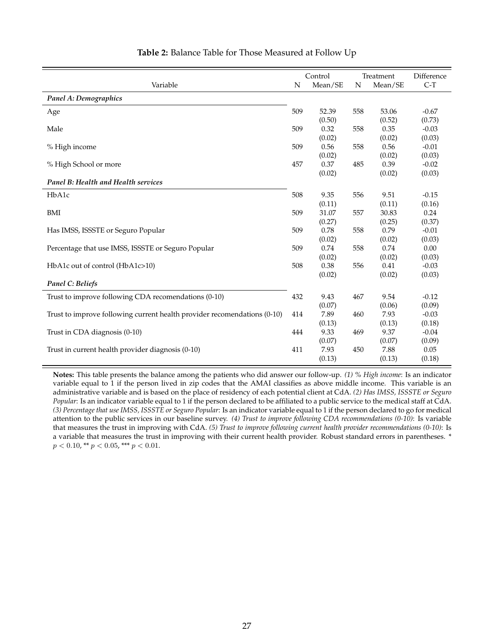<span id="page-27-0"></span>

|                                                                          |     | Control |     | Treatment | Difference |
|--------------------------------------------------------------------------|-----|---------|-----|-----------|------------|
| Variable                                                                 | N   | Mean/SE | N   | Mean/SE   | $C-T$      |
| Panel A: Demographics                                                    |     |         |     |           |            |
| Age                                                                      | 509 | 52.39   | 558 | 53.06     | $-0.67$    |
|                                                                          |     | (0.50)  |     | (0.52)    | (0.73)     |
| Male                                                                     | 509 | 0.32    | 558 | 0.35      | $-0.03$    |
|                                                                          |     | (0.02)  |     | (0.02)    | (0.03)     |
| % High income                                                            | 509 | 0.56    | 558 | 0.56      | $-0.01$    |
|                                                                          |     | (0.02)  |     | (0.02)    | (0.03)     |
| % High School or more                                                    | 457 | 0.37    | 485 | 0.39      | $-0.02$    |
|                                                                          |     | (0.02)  |     | (0.02)    | (0.03)     |
| Panel B: Health and Health services                                      |     |         |     |           |            |
| HbA1c                                                                    | 508 | 9.35    | 556 | 9.51      | $-0.15$    |
|                                                                          |     | (0.11)  |     | (0.11)    | (0.16)     |
| BMI                                                                      | 509 | 31.07   | 557 | 30.83     | 0.24       |
|                                                                          |     | (0.27)  |     | (0.25)    | (0.37)     |
| Has IMSS, ISSSTE or Seguro Popular                                       | 509 | 0.78    | 558 | 0.79      | $-0.01$    |
|                                                                          |     | (0.02)  |     | (0.02)    | (0.03)     |
| Percentage that use IMSS, ISSSTE or Seguro Popular                       | 509 | 0.74    | 558 | 0.74      | 0.00       |
|                                                                          |     | (0.02)  |     | (0.02)    | (0.03)     |
| HbA1c out of control (HbA1c>10)                                          | 508 | 0.38    | 556 | 0.41      | $-0.03$    |
|                                                                          |     | (0.02)  |     | (0.02)    | (0.03)     |
| Panel C: Beliefs                                                         |     |         |     |           |            |
| Trust to improve following CDA recomendations (0-10)                     | 432 | 9.43    | 467 | 9.54      | $-0.12$    |
|                                                                          |     | (0.07)  |     | (0.06)    | (0.09)     |
| Trust to improve following current health provider recomendations (0-10) | 414 | 7.89    | 460 | 7.93      | $-0.03$    |
|                                                                          |     | (0.13)  |     | (0.13)    | (0.18)     |
| Trust in CDA diagnosis (0-10)                                            | 444 | 9.33    | 469 | 9.37      | $-0.04$    |
|                                                                          |     | (0.07)  |     | (0.07)    | (0.09)     |
| Trust in current health provider diagnosis (0-10)                        | 411 | 7.93    | 450 | 7.88      | 0.05       |
|                                                                          |     | (0.13)  |     | (0.13)    | (0.18)     |

### **Table 2:** Balance Table for Those Measured at Follow Up

**Notes:** This table presents the balance among the patients who did answer our follow-up. *(1) % High income*: Is an indicator variable equal to 1 if the person lived in zip codes that the AMAI classifies as above middle income. This variable is an administrative variable and is based on the place of residency of each potential client at CdA. *(2) Has IMSS, ISSSTE or Seguro Popular*: Is an indicator variable equal to 1 if the person declared to be affiliated to a public service to the medical staff at CdA. *(3) Percentage that use IMSS, ISSSTE or Seguro Popular*: Is an indicator variable equal to 1 if the person declared to go for medical attention to the public services in our baseline survey. *(4) Trust to improve following CDA recommendations (0-10)*: Is variable that measures the trust in improving with CdA. *(5) Trust to improve following current health provider recommendations (0-10)*: Is a variable that measures the trust in improving with their current health provider. Robust standard errors in parentheses. \*  $p < 0.10$ , \*\*  $p < 0.05$ , \*\*\*  $p < 0.01$ .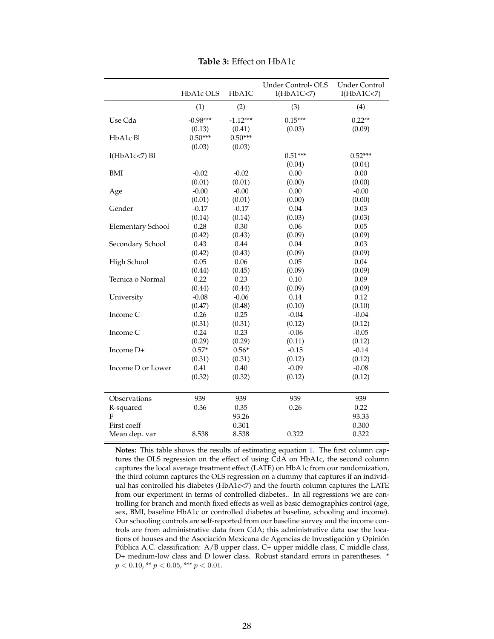<span id="page-28-0"></span>

|                          | HbA1c OLS  | HbA1C      | Under Control-OLS<br>I(HbA1C<7) | <b>Under Control</b><br>I(HbA1C<7) |
|--------------------------|------------|------------|---------------------------------|------------------------------------|
|                          | (1)        | (2)        | (3)                             | (4)                                |
| Use Cda                  | $-0.98***$ | $-1.12***$ | $0.15***$                       | $0.22**$                           |
|                          | (0.13)     | (0.41)     | (0.03)                          | (0.09)                             |
| HbA1c Bl                 | $0.50***$  | $0.50***$  |                                 |                                    |
|                          | (0.03)     | (0.03)     |                                 |                                    |
| $I(HbA1c<7)$ Bl          |            |            | $0.51***$                       | $0.52***$                          |
|                          |            |            | (0.04)                          | (0.04)                             |
| <b>BMI</b>               | $-0.02$    | $-0.02$    | 0.00                            | 0.00                               |
|                          | (0.01)     | (0.01)     | (0.00)                          | (0.00)                             |
| Age                      | $-0.00$    | $-0.00$    | 0.00                            | $-0.00$                            |
|                          | (0.01)     | (0.01)     | (0.00)                          | (0.00)                             |
| Gender                   | $-0.17$    | $-0.17$    | 0.04                            | 0.03                               |
|                          | (0.14)     | (0.14)     | (0.03)                          | (0.03)                             |
| <b>Elementary School</b> | 0.28       | 0.30       | 0.06                            | 0.05                               |
|                          | (0.42)     | (0.43)     | (0.09)                          | (0.09)                             |
| Secondary School         | 0.43       | 0.44       | 0.04                            | 0.03                               |
|                          | (0.42)     | (0.43)     | (0.09)                          | (0.09)                             |
| High School              | 0.05       | 0.06       | 0.05                            | 0.04                               |
|                          | (0.44)     | (0.45)     | (0.09)                          | (0.09)                             |
| Tecnica o Normal         | 0.22       | 0.23       | 0.10                            | 0.09                               |
|                          | (0.44)     | (0.44)     | (0.09)                          | (0.09)                             |
| University               | $-0.08$    | $-0.06$    | 0.14                            | 0.12                               |
|                          | (0.47)     | (0.48)     | (0.10)                          | (0.10)                             |
| Income C+                | 0.26       | 0.25       | $-0.04$                         | $-0.04$                            |
|                          | (0.31)     | (0.31)     | (0.12)                          | (0.12)                             |
| Income C                 | 0.24       | 0.23       | $-0.06$                         | $-0.05$                            |
|                          | (0.29)     | (0.29)     | (0.11)                          | (0.12)                             |
| Income D+                | $0.57*$    | $0.56*$    | $-0.15$                         | $-0.14$                            |
|                          | (0.31)     | (0.31)     | (0.12)                          | (0.12)                             |
| Income D or Lower        | 0.41       | 0.40       | $-0.09$                         | $-0.08$                            |
|                          | (0.32)     | (0.32)     | (0.12)                          | (0.12)                             |
|                          |            |            |                                 |                                    |
| Observations             | 939        | 939        | 939                             | 939                                |
| R-squared                | 0.36       | 0.35       | 0.26                            | 0.22                               |
| $\overline{F}$           |            | 93.26      |                                 | 93.33                              |
| First coeff              |            | 0.301      |                                 | 0.300                              |
| Mean dep. var            | 8.538      | 8.538      | 0.322                           | 0.322                              |

**Table 3:** Effect on HbA1c

**Notes:** This table shows the results of estimating equation [1.](#page-12-1) The first column captures the OLS regression on the effect of using CdA on HbA1c, the second column captures the local average treatment effect (LATE) on HbA1c from our randomization, the third column captures the OLS regression on a dummy that captures if an individual has controlled his diabetes (HbA1c<7) and the fourth column captures the LATE from our experiment in terms of controlled diabetes.. In all regressions we are controlling for branch and month fixed effects as well as basic demographics control (age, sex, BMI, baseline HbA1c or controlled diabetes at baseline, schooling and income). Our schooling controls are self-reported from our baseline survey and the income controls are from administrative data from CdA; this administrative data use the locations of houses and the Asociación Mexicana de Agencias de Investigación y Opinión Pública A.C. classification: A/B upper class, C+ upper middle class, C middle class, D+ medium-low class and D lower class. Robust standard errors in parentheses. \*  $p < 0.10$ , \*\*  $p < 0.05$ , \*\*\*  $p < 0.01$ .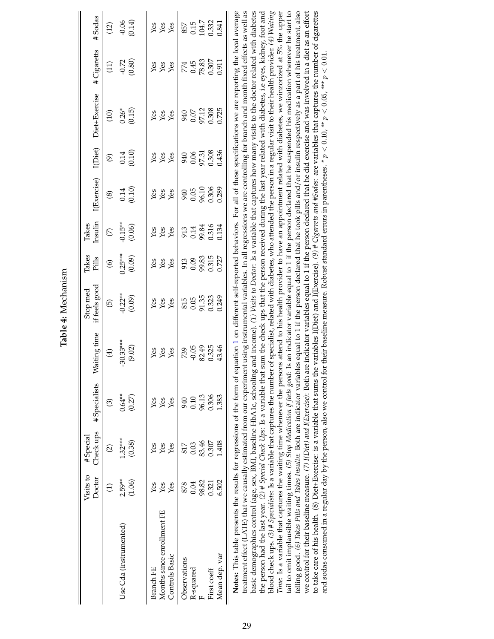|                                                                                                                                                                                                                                                                                                                                                                                                                                                                                                                                                                                                                          | Visits to<br>Doctor | Check ups<br># Special | #Specialists        | Vaiting time          | if feels good<br>Stop med | Takes<br>Pills      | Insulin<br>Takes    | I(Exercise)    | I(Diet)        | Diet+Exercise                                                                                                                                                                                                                                                                                                                                                         | #Cigaretts        | #Sodas            |
|--------------------------------------------------------------------------------------------------------------------------------------------------------------------------------------------------------------------------------------------------------------------------------------------------------------------------------------------------------------------------------------------------------------------------------------------------------------------------------------------------------------------------------------------------------------------------------------------------------------------------|---------------------|------------------------|---------------------|-----------------------|---------------------------|---------------------|---------------------|----------------|----------------|-----------------------------------------------------------------------------------------------------------------------------------------------------------------------------------------------------------------------------------------------------------------------------------------------------------------------------------------------------------------------|-------------------|-------------------|
|                                                                                                                                                                                                                                                                                                                                                                                                                                                                                                                                                                                                                          | $\widehat{\Xi}$     | $\widehat{\omega}$     | $\odot$             | $\bigoplus$           | $\overline{5}$            | $\odot$             | $\mathfrak{S}$      | $\circledast$  | $\widehat{e}$  | (10)                                                                                                                                                                                                                                                                                                                                                                  | $\left(11\right)$ | (12)              |
| Use Cda (instrumented)                                                                                                                                                                                                                                                                                                                                                                                                                                                                                                                                                                                                   | $2.59**$<br>(1.06)  | $1.32***$<br>(0.38)    | $0.64***$<br>(0.27) | $-30.33***$<br>(9.02) | $-0.22**$<br>(0.09)       | $0.25***$<br>(0.09) | $-0.15**$<br>(0.06) | (0.10)<br>0.14 | (0.10)<br>0.14 | $0.26*$<br>(0.15)                                                                                                                                                                                                                                                                                                                                                     | (0.80)<br>$-0.72$ | (0.14)<br>$-0.06$ |
| Branch FE                                                                                                                                                                                                                                                                                                                                                                                                                                                                                                                                                                                                                | Yes                 | Yes                    | Yes                 | Yes                   | Yes                       | Yes                 | Yes                 | Yes            | Yes            | Yes                                                                                                                                                                                                                                                                                                                                                                   | Yes               | Yes               |
| Months since enrollment FE                                                                                                                                                                                                                                                                                                                                                                                                                                                                                                                                                                                               | Yes                 | Yes                    | Yes                 | Yes                   | Yes                       | Yes                 | Yes                 | Yes            | Yes            | Yes                                                                                                                                                                                                                                                                                                                                                                   | Yes               | Yes               |
| Controls Basic                                                                                                                                                                                                                                                                                                                                                                                                                                                                                                                                                                                                           | Yes                 | Yes                    | Yes                 | Yes                   | Yes                       | Yes                 | Yes                 | Yes            | Yes            | Yes                                                                                                                                                                                                                                                                                                                                                                   | Yes               | Yes               |
| Observations                                                                                                                                                                                                                                                                                                                                                                                                                                                                                                                                                                                                             | 878                 | 817                    | 940                 | 739                   | 815                       | 913                 | 913                 | 940            | 940            | 940                                                                                                                                                                                                                                                                                                                                                                   | 774               | 857               |
| R-squared                                                                                                                                                                                                                                                                                                                                                                                                                                                                                                                                                                                                                | 0.04                | 0.03                   | 0.10                | $-0.05$               | 0.05                      | 0.09                | 0.14                | 0.05           | 0.06           | $0.07\,$                                                                                                                                                                                                                                                                                                                                                              | 0.45              | 0.15              |
|                                                                                                                                                                                                                                                                                                                                                                                                                                                                                                                                                                                                                          | 98.82               | 83.46                  | 96.13               | 82.49                 | 91.35                     | 99.83               | 99.84               | 96.10          | 97.31          | 97.12                                                                                                                                                                                                                                                                                                                                                                 | 78.83             | 104.7             |
| First coeff                                                                                                                                                                                                                                                                                                                                                                                                                                                                                                                                                                                                              | 0.321               | 0.307                  | 0.306               | 0.325                 | 0.323                     | 0.315               | 0.316               | 0.306          | 0.308          | 0.308                                                                                                                                                                                                                                                                                                                                                                 | 0.307             | 0.332             |
| Mean dep. var                                                                                                                                                                                                                                                                                                                                                                                                                                                                                                                                                                                                            | 6.502               | 1.408                  | 1.383               | 43.46                 | 0.249                     | 0.727               | 0.134               | 0.289          | 0.436          | 0.725                                                                                                                                                                                                                                                                                                                                                                 | 0.911             | 0.841             |
| treatment effect (LATE) that we causally estimated from our experiment using instrumental variables. In all regressions we are controlling for branch and month fixed effects as well as<br>Notes: This table presents the results for regressions of the form of equation 1 on different self-reported behaviors. For all of these specifications we are reporting the local average<br>basic demographics control (age, sex, BMI, baseline HbA1c, schooling<br>the person had the last year. (2) # Special Check Ups: Is a variable that<br>blood check ups. (3) # Specialists: Is a variable that captures the number |                     |                        |                     |                       |                           |                     |                     |                |                | and income). (1) Visits to Doctor: Is a variable that captures how many visits to the doctor related with diabetes<br>sum the check ups that the person received during the last year related with diabetes, i.e eyes, kidney, foot and<br>r of specialist, related with diabetes, who attended the person in a regular visit to their health provider. $(4)$ Waiting |                   |                   |
|                                                                                                                                                                                                                                                                                                                                                                                                                                                                                                                                                                                                                          |                     |                        |                     |                       |                           |                     |                     |                |                |                                                                                                                                                                                                                                                                                                                                                                       |                   |                   |

<span id="page-29-0"></span>Table 4: Mechanism **Table 4:** Mechanism

29

blood check ups. (3) # Specialists: Is a variable that captures the number of specialist, related with diabetes, who attended the person in a regular visit to their health provider. (4) Waiting *Time*: Is a variable that captures the waiting time whenever the persons attend to his health provider to have an appointment related with diabetes, we winzorized at 5% the upper tail to omit implausible waiting times. (5) St*op Medication if feels good*: Is an indicator variable equal to 1 if the person declared that he suspended his medication whenever he start to felling good. (6) Takes Pills and Takes Insulin: Both are indicator variables equal to 1 if the person declared that he took pills and/or insulin respectively as a part of his treatment, also we control for their baseline measure. (7) I(Diet) and I(Exercise): Both are indicator variables equal to 1 if the person declared that he did exercise and was involved in a diet as an effort to take care of his health. (8) Diet+Exercise: is a variable that sums the variables I(Diet) and I(Exercise). (9) # Clgarrets and #Sodas: are variables that captures the number of cigarettes

Time: Is a variable that captures the waiting time whenever the persons attend to his health provider to have an appointment related with diabetes, we winzorized at 5% the upper tail to omit implausible waiting times. (5) felling good. (6) Takes Pills and Takes Insulin: Both are indicator variables equal to 1 if the person declared that he took pills and/or insulin respectively as a part of his treatment, also we control for their baseline measure. (7) I(Diet) and I(Exercise): Both are indicator variables equal to 1 if the person declared that he did exercise and was involved in a diet as an effort to take care of his health. (8) Diet+Exercise: is a variable that sums the variables I(Diet) and I(Exercise). (9) # Cigarrets and #Sodas: are variables that captures the number of cigarettes

and sodas consumed in a regular day by the person, also we control for their baseline measure. Robust standard errors in parentheses. \*  $p < 0.10$ , \*\*  $p < 0.05$ , \*\*\*  $p < 0.01$ .

and sodas consumed in a regular day by the person, also we control for their baseline measure. Robust standard errors in parentheses. \*  $p < 0.10$ , \*\*  $p < 0.05$ , \*\*  $p < 0.01$ .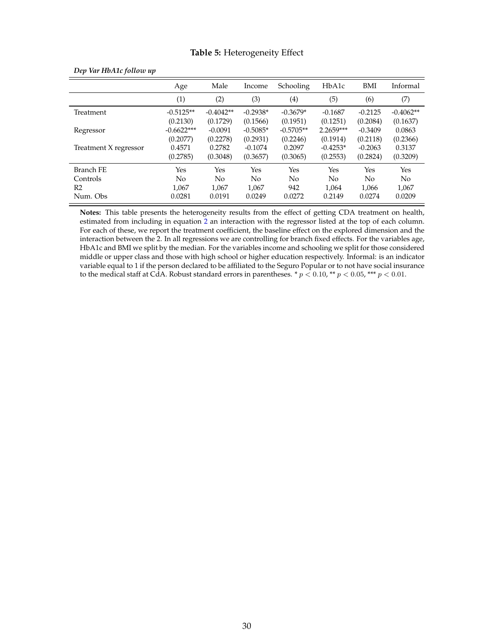#### **Table 5:** Heterogeneity Effect

|                       | Age          | Male        | Income         | Schooling      | HbA1c      | BMI       | Informal    |
|-----------------------|--------------|-------------|----------------|----------------|------------|-----------|-------------|
|                       | (1)          | (2)         | (3)            | (4)            | (5)        | (6)       | (7)         |
| Treatment             | $-0.5125**$  | $-0.4042**$ | $-0.2938*$     | $-0.3679*$     | $-0.1687$  | $-0.2125$ | $-0.4062**$ |
|                       | (0.2130)     | (0.1729)    | (0.1566)       | (0.1951)       | (0.1251)   | (0.2084)  | (0.1637)    |
| Regressor             | $-0.6622***$ | $-0.0091$   | $-0.5085*$     | $-0.5705**$    | 2.2659***  | $-0.3409$ | 0.0863      |
|                       | (0.2077)     | (0.2278)    | (0.2931)       | (0.2246)       | (0.1914)   | (0.2118)  | (0.2366)    |
| Treatment X regressor | 0.4571       | 0.2782      | $-0.1074$      | 0.2097         | $-0.4253*$ | $-0.2063$ | 0.3137      |
|                       | (0.2785)     | (0.3048)    | (0.3657)       | (0.3065)       | (0.2553)   | (0.2824)  | (0.3209)    |
| Branch FE             | Yes          | Yes         | <b>Yes</b>     | Yes            | <b>Yes</b> | Yes       | Yes         |
| Controls              | No           | No          | N <sub>o</sub> | N <sub>o</sub> | No.        | No        | No          |
| R <sub>2</sub>        | 1,067        | 1,067       | 1,067          | 942            | 1,064      | 1,066     | 1,067       |
| Num. Obs              | 0.0281       | 0.0191      | 0.0249         | 0.0272         | 0.2149     | 0.0274    | 0.0209      |

<span id="page-30-0"></span>

| Dep Var HbA1c follow up |  |  |  |  |  |
|-------------------------|--|--|--|--|--|
|-------------------------|--|--|--|--|--|

**Notes:** This table presents the heterogeneity results from the effect of getting CDA treatment on health, estimated from including in equation [2](#page-15-1) an interaction with the regressor listed at the top of each column. For each of these, we report the treatment coefficient, the baseline effect on the explored dimension and the interaction between the 2. In all regressions we are controlling for branch fixed effects. For the variables age, HbA1c and BMI we split by the median. For the variables income and schooling we split for those considered middle or upper class and those with high school or higher education respectively. Informal: is an indicator variable equal to 1 if the person declared to be affiliated to the Seguro Popular or to not have social insurance to the medical staff at CdA. Robust standard errors in parentheses. \*  $p < 0.10$ , \*\*  $p < 0.05$ , \*\*\*  $p < 0.01$ .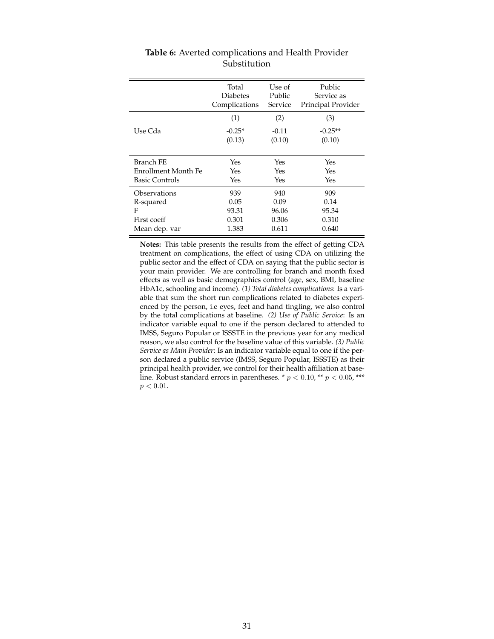<span id="page-31-0"></span>

|                       | Total           | Use of  | Public             |
|-----------------------|-----------------|---------|--------------------|
|                       | <b>Diabetes</b> | Public  | Service as         |
|                       | Complications   | Service | Principal Provider |
|                       | (1)             | (2)     | (3)                |
| Use Cda               | $-0.25*$        | $-0.11$ | $-0.25**$          |
|                       | (0.13)          | (0.10)  | (0.10)             |
| <b>Branch FE</b>      | Yes             | Yes     | Yes                |
| Enrollment Month Fe   | Yes             | Yes     | Yes                |
| <b>Basic Controls</b> | Yes             | Yes     | Yes                |
| Observations          | 939             | 940     | 909                |
| R-squared             | 0.05            | 0.09    | 0.14               |
| F                     | 93.31           | 96.06   | 95.34              |
| First coeff           | 0.301           | 0.306   | 0.310              |
| Mean dep. var         | 1.383           | 0.611   | 0.640              |

### **Table 6:** Averted complications and Health Provider Substitution

**Notes:** This table presents the results from the effect of getting CDA treatment on complications, the effect of using CDA on utilizing the public sector and the effect of CDA on saying that the public sector is your main provider. We are controlling for branch and month fixed effects as well as basic demographics control (age, sex, BMI, baseline HbA1c, schooling and income). *(1) Total diabetes complications*: Is a variable that sum the short run complications related to diabetes experienced by the person, i.e eyes, feet and hand tingling, we also control by the total complications at baseline. *(2) Use of Public Service*: Is an indicator variable equal to one if the person declared to attended to IMSS, Seguro Popular or ISSSTE in the previous year for any medical reason, we also control for the baseline value of this variable. *(3) Public Service as Main Provider*: Is an indicator variable equal to one if the person declared a public service (IMSS, Seguro Popular, ISSSTE) as their principal health provider, we control for their health affiliation at baseline. Robust standard errors in parentheses. \*  $p < 0.10$ , \*\*  $p < 0.05$ , \*\*\*  $p < 0.01.$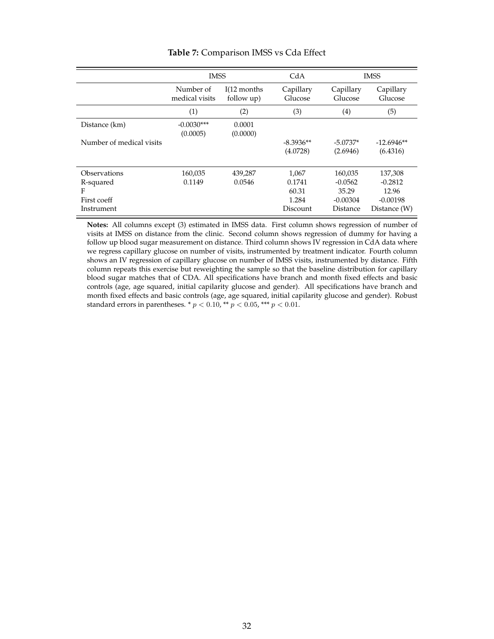<span id="page-32-0"></span>

|                          | <b>IMSS</b>                 |                             | CdA                  |                      | <b>IMSS</b>          |
|--------------------------|-----------------------------|-----------------------------|----------------------|----------------------|----------------------|
|                          | Number of<br>medical visits | $I(12$ months<br>follow up) | Capillary<br>Glucose | Capillary<br>Glucose | Capillary<br>Glucose |
|                          | (1)                         | (2)                         | (3)                  | (4)                  | (5)                  |
| Distance (km)            | $-0.0030***$<br>(0.0005)    | 0.0001<br>(0.0000)          |                      |                      |                      |
| Number of medical visits |                             |                             | $-8.3936**$          | $-5.0737*$           | $-12.6946**$         |
|                          |                             |                             | (4.0728)             | (2.6946)             | (6.4316)             |
|                          |                             |                             |                      |                      |                      |
| Observations             | 160,035                     | 439,287                     | 1,067                | 160,035              | 137,308              |
| R-squared                | 0.1149                      | 0.0546                      | 0.1741               | $-0.0562$            | $-0.2812$            |
| F                        |                             |                             | 60.31                | 35.29                | 12.96                |
| First coeff              |                             |                             | 1.284                | $-0.00304$           | $-0.00198$           |
| Instrument               |                             |                             | Discount             | Distance             | Distance (W)         |

#### **Table 7:** Comparison IMSS vs Cda Effect

**Notes:** All columns except (3) estimated in IMSS data. First column shows regression of number of visits at IMSS on distance from the clinic. Second column shows regression of dummy for having a follow up blood sugar measurement on distance. Third column shows IV regression in CdA data where we regress capillary glucose on number of visits, instrumented by treatment indicator. Fourth column shows an IV regression of capillary glucose on number of IMSS visits, instrumented by distance. Fifth column repeats this exercise but reweighting the sample so that the baseline distribution for capillary blood sugar matches that of CDA. All specifications have branch and month fixed effects and basic controls (age, age squared, initial capilarity glucose and gender). All specifications have branch and month fixed effects and basic controls (age, age squared, initial capilarity glucose and gender). Robust standard errors in parentheses.  $* p < 0.10$ ,  $** p < 0.05$ ,  $*** p < 0.01$ .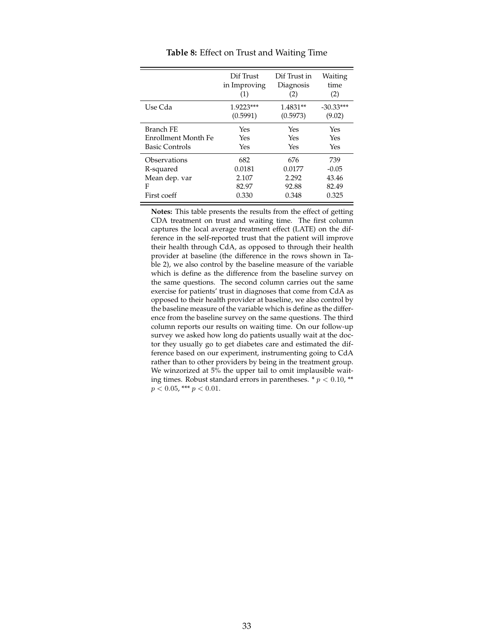<span id="page-33-0"></span>

|                       | Dif Trust    | Dif Trust in | Waiting     |
|-----------------------|--------------|--------------|-------------|
|                       | in Improving | Diagnosis    | time        |
|                       | (1)          | (2)          | (2)         |
| Use Cda               | $1.9223***$  | 1.4831**     | $-30.33***$ |
|                       | (0.5991)     | (0.5973)     | (9.02)      |
| Branch FE             | Yes          | Yes          | Yes         |
| Enrollment Month Fe   | Yes          | Yes          | Yes         |
| <b>Basic Controls</b> | Yes          | Yes          | Yes         |
| Observations          | 682          | 676          | 739         |
| R-squared             | 0.0181       | 0.0177       | $-0.05$     |
| Mean dep. var         | 2.107        | 2.292        | 43.46       |
| F                     | 82.97        | 92.88        | 82.49       |
| First coeff           | 0.330        | 0.348        | 0.325       |

**Table 8:** Effect on Trust and Waiting Time

**Notes:** This table presents the results from the effect of getting CDA treatment on trust and waiting time. The first column captures the local average treatment effect (LATE) on the difference in the self-reported trust that the patient will improve their health through CdA, as opposed to through their health provider at baseline (the difference in the rows shown in Table 2), we also control by the baseline measure of the variable which is define as the difference from the baseline survey on the same questions. The second column carries out the same exercise for patients' trust in diagnoses that come from CdA as opposed to their health provider at baseline, we also control by the baseline measure of the variable which is define as the difference from the baseline survey on the same questions. The third column reports our results on waiting time. On our follow-up survey we asked how long do patients usually wait at the doctor they usually go to get diabetes care and estimated the difference based on our experiment, instrumenting going to CdA rather than to other providers by being in the treatment group. We winzorized at 5% the upper tail to omit implausible waiting times. Robust standard errors in parentheses.  $* p < 0.10$ , \*\*  $p < 0.05$ , \*\*\*  $p < 0.01$ .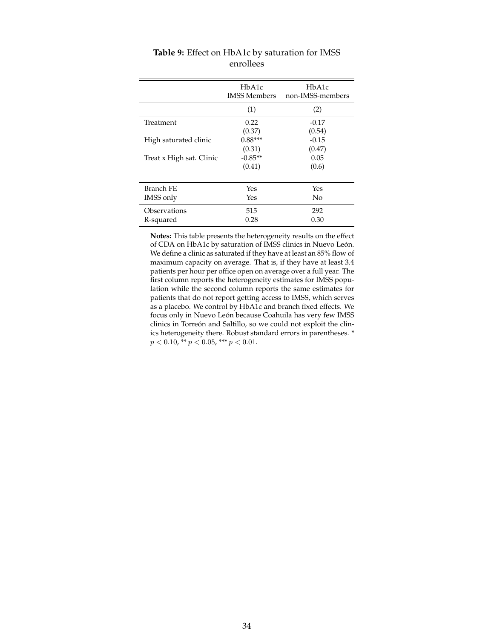<span id="page-34-0"></span>

|                          | H <sub>b</sub> A <sub>1</sub> c<br><b>IMSS Members</b> | HbA1c<br>non-IMSS-members |
|--------------------------|--------------------------------------------------------|---------------------------|
|                          | (1)                                                    | (2)                       |
| Treatment                | 0.22                                                   | $-0.17$                   |
|                          | (0.37)                                                 | (0.54)                    |
| High saturated clinic    | $0.88***$                                              | $-0.15$                   |
|                          | (0.31)                                                 | (0.47)                    |
| Treat x High sat. Clinic | $-0.85**$                                              | 0.05                      |
|                          | (0.41)                                                 | (0.6)                     |
| Branch FE                | Yes                                                    | Yes                       |
| IMSS only                | Yes                                                    | No                        |
| Observations             | 515                                                    | 292                       |
| R-squared                | 0.28                                                   | 0.30                      |

| <b>Table 9:</b> Effect on HbA1c by saturation for IMSS |  |
|--------------------------------------------------------|--|
| enrollees                                              |  |

**Notes:** This table presents the heterogeneity results on the effect of CDA on HbA1c by saturation of IMSS clinics in Nuevo León. We define a clinic as saturated if they have at least an 85% flow of maximum capacity on average. That is, if they have at least 3.4 patients per hour per office open on average over a full year. The first column reports the heterogeneity estimates for IMSS population while the second column reports the same estimates for patients that do not report getting access to IMSS, which serves as a placebo. We control by HbA1c and branch fixed effects. We focus only in Nuevo León because Coahuila has very few IMSS clinics in Torreón and Saltillo, so we could not exploit the clinics heterogeneity there. Robust standard errors in parentheses. \*  $p < 0.10$ , \*\*  $p < 0.05$ , \*\*\*  $p < 0.01$ .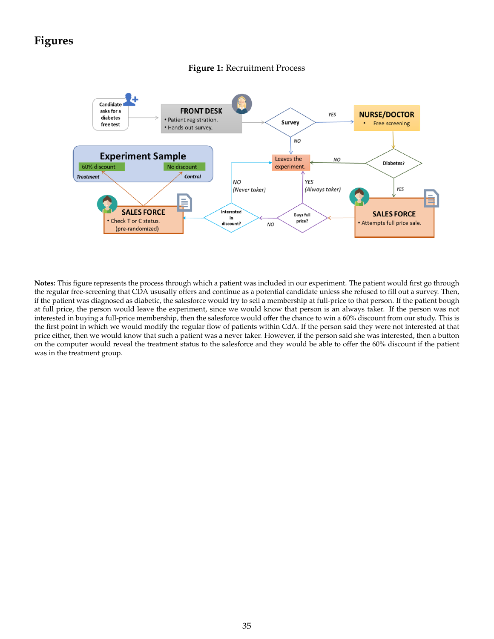## <span id="page-35-0"></span>**Figures**



#### **Figure 1:** Recruitment Process

**Notes:** This figure represents the process through which a patient was included in our experiment. The patient would first go through the regular free-screening that CDA ususally offers and continue as a potential candidate unless she refused to fill out a survey. Then, if the patient was diagnosed as diabetic, the salesforce would try to sell a membership at full-price to that person. If the patient bough at full price, the person would leave the experiment, since we would know that person is an always taker. If the person was not interested in buying a full-price membership, then the salesforce would offer the chance to win a 60% discount from our study. This is the first point in which we would modify the regular flow of patients within CdA. If the person said they were not interested at that price either, then we would know that such a patient was a never taker. However, if the person said she was interested, then a button on the computer would reveal the treatment status to the salesforce and they would be able to offer the 60% discount if the patient was in the treatment group.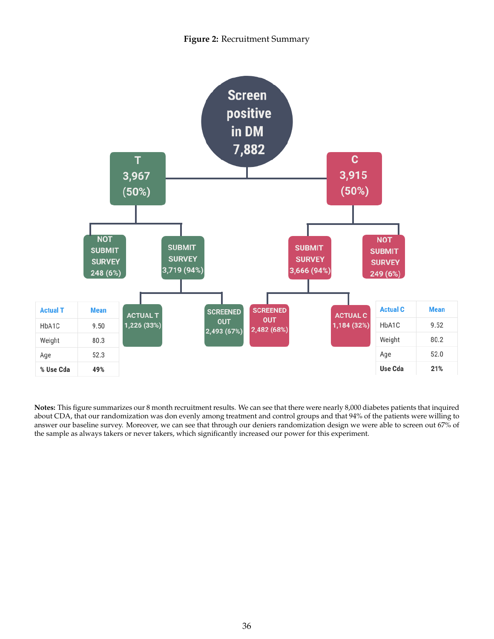## **Figure 2:** Recruitment Summary

<span id="page-36-0"></span>

**Notes:** This figure summarizes our 8 month recruitment results. We can see that there were nearly 8,000 diabetes patients that inquired about CDA, that our randomization was don evenly among treatment and control groups and that 94% of the patients were willing to answer our baseline survey. Moreover, we can see that through our deniers randomization design we were able to screen out 67% of the sample as always takers or never takers, which significantly increased our power for this experiment.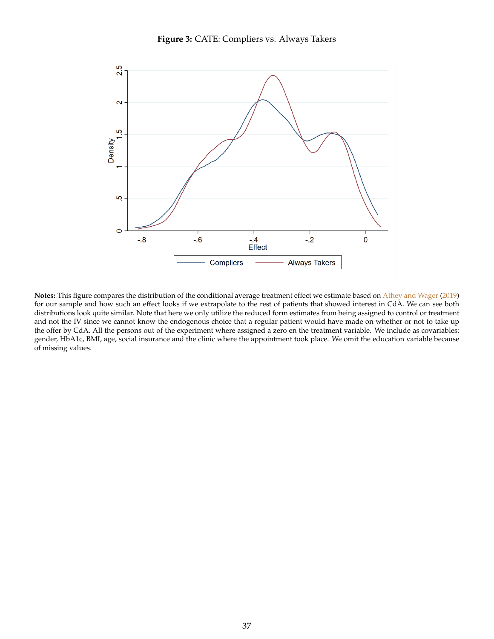

<span id="page-37-1"></span><span id="page-37-0"></span>

**Notes:** This figure compares the distribution of the conditional average treatment effect we estimate based on [Athey and Wager](#page-40-23) [\(2019\)](#page-40-23) for our sample and how such an effect looks if we extrapolate to the rest of patients that showed interest in CdA. We can see both distributions look quite similar. Note that here we only utilize the reduced form estimates from being assigned to control or treatment and not the IV since we cannot know the endogenous choice that a regular patient would have made on whether or not to take up the offer by CdA. All the persons out of the experiment where assigned a zero en the treatment variable. We include as covariables: gender, HbA1c, BMI, age, social insurance and the clinic where the appointment took place. We omit the education variable because of missing values.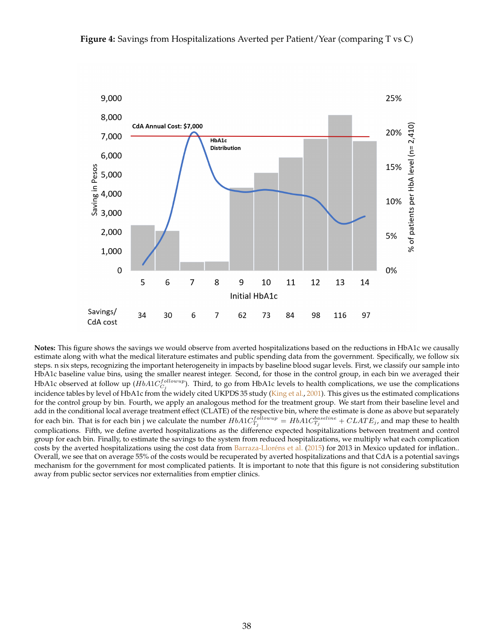<span id="page-38-1"></span><span id="page-38-0"></span>

**Notes:** This figure shows the savings we would observe from averted hospitalizations based on the reductions in HbA1c we causally estimate along with what the medical literature estimates and public spending data from the government. Specifically, we follow six steps. n six steps, recognizing the important heterogeneity in impacts by baseline blood sugar levels. First, we classify our sample into HbA1c baseline value bins, using the smaller nearest integer. Second, for those in the control group, in each bin we averaged their HbA1c observed at follow up  $(HbA1C_{C_j}^{followup})$ . Third, to go from HbA1c levels to health complications, we use the complications incidence tables by level of HbA1c from the widely cited UKPDS 35 study [\(King et al.,](#page-41-14) [2001\)](#page-41-14). This gives us the estimated complications for the control group by bin. Fourth, we apply an analogous method for the treatment group. We start from their baseline level and add in the conditional local average treatment effect (CLATE) of the respective bin, where the estimate is done as above but separately for each bin. That is for each bin j we calculate the number  $HbA1C_{T_j}^{followup} = HbA1C_{T_j}^{baseline} + CLATE_j$ , and map these to health complications. Fifth, we define averted hospitalizations as the difference expected hospitalizations between treatment and control group for each bin. Finally, to estimate the savings to the system from reduced hospitalizations, we multiply what each complication costs by the averted hospitalizations using the cost data from [Barraza-Lloréns et al.](#page-40-1) [\(2015\)](#page-40-1) for 2013 in Mexico updated for inflation.. Overall, we see that on average 55% of the costs would be recuperated by averted hospitalizations and that CdA is a potential savings mechanism for the government for most complicated patients. It is important to note that this figure is not considering substitution away from public sector services nor externalities from emptier clinics.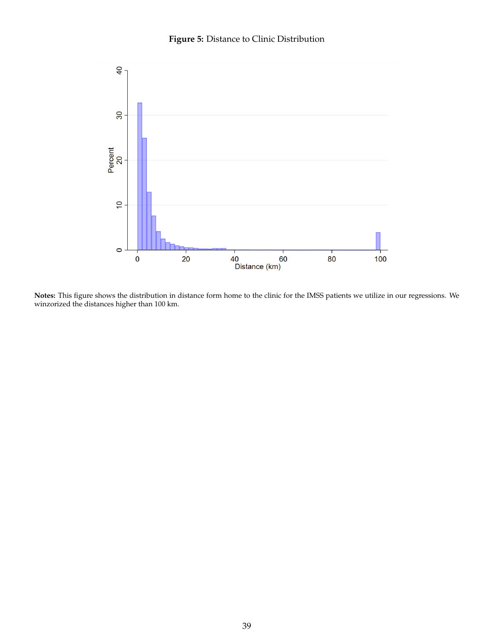

<span id="page-39-0"></span>

**Notes:** This figure shows the distribution in distance form home to the clinic for the IMSS patients we utilize in our regressions. We winzorized the distances higher than 100 km.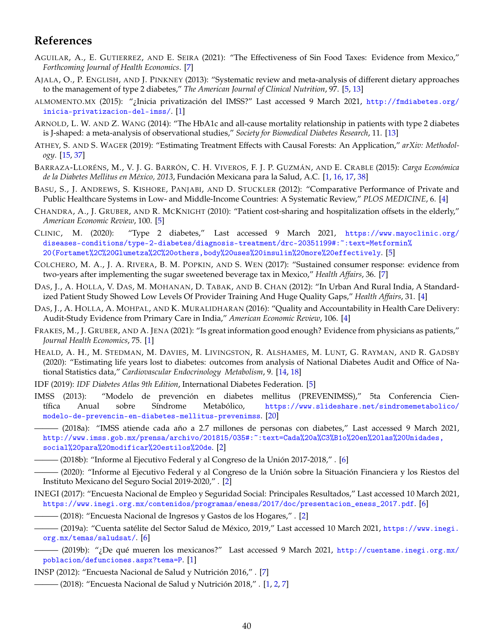## **References**

- <span id="page-40-19"></span>AGUILAR, A., E. GUTIERREZ, AND E. SEIRA (2021): "The Effectiveness of Sin Food Taxes: Evidence from Mexico," *Forthcoming Journal of Health Economics*. [\[7\]](#page-7-3)
- <span id="page-40-11"></span>AJALA, O., P. ENGLISH, AND J. PINKNEY (2013): "Systematic review and meta-analysis of different dietary approaches to the management of type 2 diabetes," *The American Journal of Clinical Nutrition*, 97. [\[5,](#page-5-3) [13\]](#page-13-2)
- <span id="page-40-4"></span>ALMOMENTO.MX (2015): "¿Inicia privatización del IMSS?" Last accessed 9 March 2021, [http://fmdiabetes.org/](http://fmdiabetes.org/inicia-privatizacion-del-imss/) [inicia-privatizacion-del-imss/](http://fmdiabetes.org/inicia-privatizacion-del-imss/). [\[1\]](#page-0-0)
- <span id="page-40-21"></span>ARNOLD, L. W. AND Z. WANG (2014): "The HbA1c and all-cause mortality relationship in patients with type 2 diabetes is J-shaped: a meta-analysis of observational studies," *Society for Biomedical Diabetes Research*, 11. [\[13\]](#page-13-2)
- <span id="page-40-23"></span>ATHEY, S. AND S. WAGER (2019): "Estimating Treatment Effects with Causal Forests: An Application," *arXiv: Methodology*. [\[15,](#page-15-2) [37\]](#page-37-1)
- <span id="page-40-1"></span>BARRAZA-LLORÉNS, M., V. J. G. BARRÓN, C. H. VIVEROS, F. J. P. GUZMÁN, AND E. CRABLE (2015): *Carga Económica de la Diabetes Mellitus en México, 2013*, Fundación Mexicana para la Salud, A.C. [\[1,](#page-0-0) [16,](#page-16-1) [17,](#page-17-1) [38\]](#page-38-1)
- <span id="page-40-8"></span>BASU, S., J. ANDREWS, S. KISHORE, PANJABI, AND D. STUCKLER (2012): "Comparative Performance of Private and Public Healthcare Systems in Low- and Middle-Income Countries: A Systematic Review," *PLOS MEDICINE*, 6. [\[4\]](#page-4-0)
- <span id="page-40-12"></span>CHANDRA, A., J. GRUBER, AND R. MCKNIGHT (2010): "Patient cost-sharing and hospitalization offsets in the elderly," *American Economic Review*, 100. [\[5\]](#page-5-3)
- <span id="page-40-14"></span>CLINIC, M. (2020): "Type 2 diabetes," Last accessed 9 March 2021, [https://www.mayoclinic.org/](https://www.mayoclinic.org/diseases-conditions/type-2-diabetes/diagnosis-treatment/drc-20351199##:~:text=Metformin%20(Fortamet%2C%20Glumetza%2C%20others,body%20uses%20insulin%20more%20effectively) diseases-conditions/type-2-diabetes/diagnosis-treatment/drc-20351199#:":text=Metformin% [20\(Fortamet%2C%20Glumetza%2C%20others,body%20uses%20insulin%20more%20effectively](https://www.mayoclinic.org/diseases-conditions/type-2-diabetes/diagnosis-treatment/drc-20351199##:~:text=Metformin%20(Fortamet%2C%20Glumetza%2C%20others,body%20uses%20insulin%20more%20effectively). [\[5\]](#page-5-3)
- <span id="page-40-20"></span>COLCHERO, M. A., J. A. RIVERA, B. M. POPKIN, AND S. WEN (2017): "Sustained consumer response: evidence from two-years after implementing the sugar sweetened beverage tax in Mexico," *Health Affairs*, 36. [\[7\]](#page-7-3)
- <span id="page-40-9"></span>DAS, J., A. HOLLA, V. DAS, M. MOHANAN, D. TABAK, AND B. CHAN (2012): "In Urban And Rural India, A Standardized Patient Study Showed Low Levels Of Provider Training And Huge Quality Gaps," *Health Affairs*, 31. [\[4\]](#page-4-0)
- <span id="page-40-10"></span>DAS, J., A. HOLLA, A. MOHPAL, AND K. MURALIDHARAN (2016): "Quality and Accountability in Health Care Delivery: Audit-Study Evidence from Primary Care in India," *American Economic Review*, 106. [\[4\]](#page-4-0)
- <span id="page-40-0"></span>FRAKES, M., J. GRUBER, AND A. JENA (2021): "Is great information good enough? Evidence from physicians as patients," *Journal Health Economics*, 75. [\[1\]](#page-0-0)
- <span id="page-40-22"></span>HEALD, A. H., M. STEDMAN, M. DAVIES, M. LIVINGSTON, R. ALSHAMES, M. LUNT, G. RAYMAN, AND R. GADSBY (2020): "Estimating life years lost to diabetes: outcomes from analysis of National Diabetes Audit and Office of National Statistics data," *Cardiovascular Endocrinology Metabolism*, 9. [\[14,](#page-14-0) [18\]](#page-18-1)
- <span id="page-40-13"></span>IDF (2019): *IDF Diabetes Atlas 9th Edition*, International Diabetes Federation. [\[5\]](#page-5-3)
- <span id="page-40-24"></span>IMSS (2013): "Modelo de prevención en diabetes mellitus (PREVENIMSS)," 5ta Conferencia Científica Anual sobre Síndrome Metabólico, [https://www.slideshare.net/sindromemetabolico/](https://www.slideshare.net/sindromemetabolico/modelo-de-prevencin-en-diabetes-mellitus-prevenimss) [modelo-de-prevencin-en-diabetes-mellitus-prevenimss](https://www.slideshare.net/sindromemetabolico/modelo-de-prevencin-en-diabetes-mellitus-prevenimss). [\[20\]](#page-20-2)
- <span id="page-40-6"></span>——— (2018a): "IMSS atiende cada año a 2.7 millones de personas con diabetes," Last accessed 9 March 2021, [http://www.imss.gob.mx/prensa/archivo/201815/035#:~:text=Cada%20a%C3%B1o%20en%20las%20Unidades,](http://www.imss.gob.mx/prensa/archivo/201815/035##:~:text=Cada%20a%C3%B1o%20en%20las%20Unidades,social%20para%20modificar%20estilos%20de) [social%20para%20modificar%20estilos%20de](http://www.imss.gob.mx/prensa/archivo/201815/035##:~:text=Cada%20a%C3%B1o%20en%20las%20Unidades,social%20para%20modificar%20estilos%20de). [\[2\]](#page-2-2)
- <span id="page-40-15"></span>——— (2018b): "Informe al Ejecutivo Federal y al Congreso de la Unión 2017-2018," . [\[6\]](#page-6-2)
- <span id="page-40-5"></span>——— (2020): "Informe al Ejecutivo Federal y al Congreso de la Unión sobre la Situación Financiera y los Riestos del Instituto Mexicano del Seguro Social 2019-2020," . [\[2\]](#page-2-2)
- <span id="page-40-16"></span>INEGI (2017): "Encuesta Nacional de Empleo y Seguridad Social: Principales Resultados," Last accessed 10 March 2021, [https://www.inegi.org.mx/contenidos/programas/eness/2017/doc/presentacion\\_eness\\_2017.pdf](https://www.inegi.org.mx/contenidos/programas/eness/2017/doc/presentacion_eness_2017.pdf). [\[6\]](#page-6-2)
- <span id="page-40-7"></span>— (2018): "Encuesta Nacional de Ingresos y Gastos de los Hogares," . [\[2\]](#page-2-2)
- <span id="page-40-17"></span>– (2019a): "Cuenta satélite del Sector Salud de México, 2019," Last accessed 10 March 2021, [https://www.inegi.](https://www.inegi.org.mx/temas/saludsat/) [org.mx/temas/saludsat/](https://www.inegi.org.mx/temas/saludsat/). [\[6\]](#page-6-2)
- <span id="page-40-2"></span>——— (2019b): "¿De qué mueren los mexicanos?" Last accessed 9 March 2021, [http://cuentame.inegi.org.mx/](http://cuentame.inegi.org.mx/poblacion/defunciones.aspx?tema=P) [poblacion/defunciones.aspx?tema=P](http://cuentame.inegi.org.mx/poblacion/defunciones.aspx?tema=P). [\[1\]](#page-0-0)
- <span id="page-40-18"></span><span id="page-40-3"></span>INSP (2012): "Encuesta Nacional de Salud y Nutrición 2016," . [\[7\]](#page-7-3)
- $-$  (2018): "Encuesta Nacional de Salud y Nutrición 2018," . [\[1,](#page-0-0) [2,](#page-2-2) [7\]](#page-7-3)